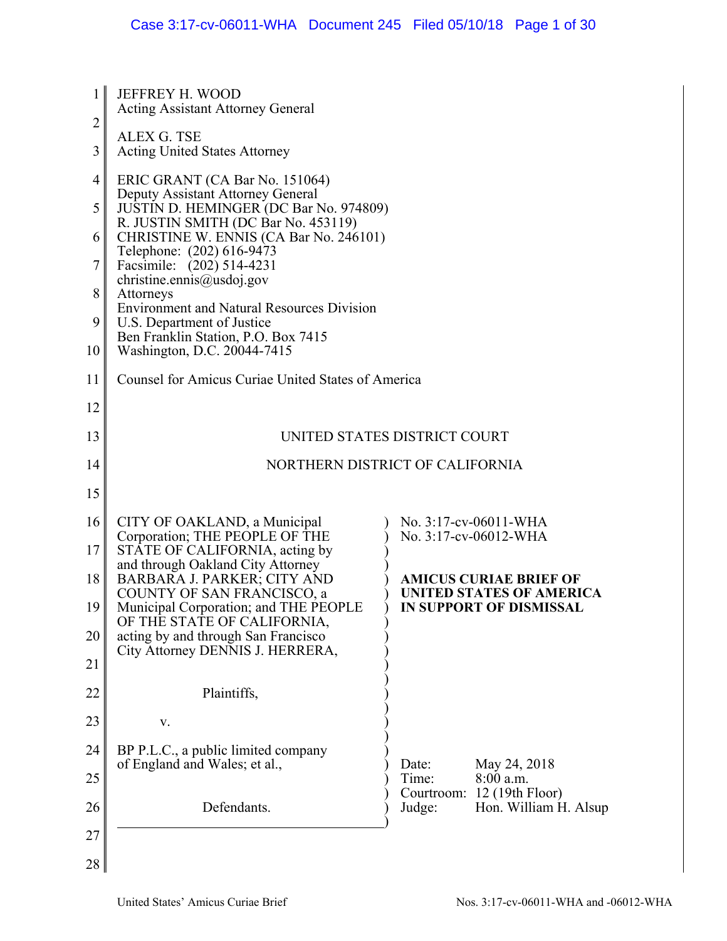| 1              | <b>JEFFREY H. WOOD</b><br><b>Acting Assistant Attorney General</b>                                         |                                                               |  |
|----------------|------------------------------------------------------------------------------------------------------------|---------------------------------------------------------------|--|
| $\overline{2}$ |                                                                                                            |                                                               |  |
| 3              | ALEX G. TSE<br><b>Acting United States Attorney</b>                                                        |                                                               |  |
| 4              | ERIC GRANT (CA Bar No. 151064)                                                                             |                                                               |  |
| 5              | Deputy Assistant Attorney General<br>JUSTIN D. HEMINGER (DC Bar No. 974809)                                |                                                               |  |
| 6              | R. JUSTIN SMITH (DC Bar No. 453119)<br>CHRISTINE W. ENNIS (CA Bar No. 246101)<br>Telephone: (202) 616-9473 |                                                               |  |
| 7              | Facsimile: (202) 514-4231<br>christine.ennis@usdoj.gov                                                     |                                                               |  |
| 8              | Attorneys<br><b>Environment and Natural Resources Division</b>                                             |                                                               |  |
| 9              | U.S. Department of Justice                                                                                 |                                                               |  |
| 10             | Ben Franklin Station, P.O. Box 7415<br>Washington, D.C. 20044-7415                                         |                                                               |  |
| 11             | Counsel for Amicus Curiae United States of America                                                         |                                                               |  |
| 12             |                                                                                                            |                                                               |  |
| 13             | UNITED STATES DISTRICT COURT                                                                               |                                                               |  |
| 14             |                                                                                                            | NORTHERN DISTRICT OF CALIFORNIA                               |  |
| 15             |                                                                                                            |                                                               |  |
| 16             | CITY OF OAKLAND, a Municipal<br>Corporation; THE PEOPLE OF THE                                             | No. 3:17-cv-06011-WHA<br>No. 3:17-cv-06012-WHA                |  |
| 17             | STATE OF CALIFORNIA, acting by<br>and through Oakland City Attorney                                        |                                                               |  |
| 18             | BARBARA J. PARKER; CITY AND                                                                                | <b>AMICUS CURIAE BRIEF OF</b><br>UNITED STATES OF AMERICA     |  |
| 19             | COUNTY OF SAN FRANCISCO, a<br>Municipal Corporation; and THE PEOPLE                                        | IN SUPPORT OF DISMISSAL                                       |  |
| 20             | OF THE STATE OF CALIFORNIA,<br>acting by and through San Francisco                                         |                                                               |  |
| 21             | City Attorney DENNIS J. HERRERA,                                                                           |                                                               |  |
| 22             | Plaintiffs,                                                                                                |                                                               |  |
| 23             | V.                                                                                                         |                                                               |  |
| 24             | BP P.L.C., a public limited company                                                                        |                                                               |  |
| 25             | of England and Wales; et al.,                                                                              | Date:<br>May 24, 2018<br>Time:<br>$8:00$ a.m.                 |  |
| 26             | Defendants.                                                                                                | Courtroom: 12 (19th Floor)<br>Judge:<br>Hon. William H. Alsup |  |
| 27             |                                                                                                            |                                                               |  |
| 28             |                                                                                                            |                                                               |  |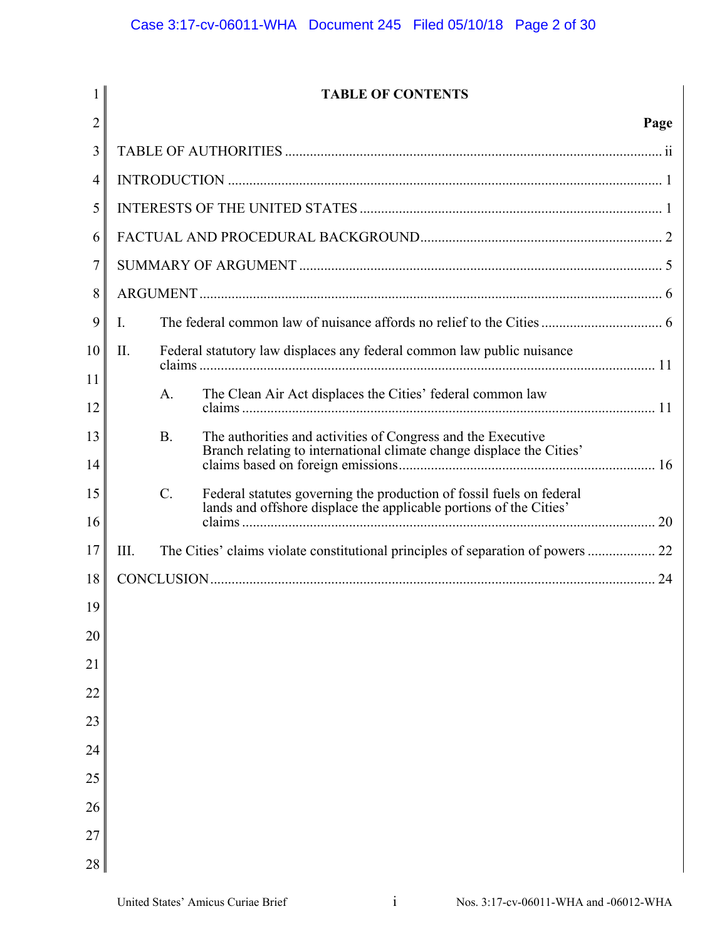| $\mathbf{1}$   | <b>TABLE OF CONTENTS</b>                                                                                                                            |      |
|----------------|-----------------------------------------------------------------------------------------------------------------------------------------------------|------|
| $\overline{2}$ |                                                                                                                                                     | Page |
| 3              |                                                                                                                                                     |      |
| 4              |                                                                                                                                                     |      |
| 5              |                                                                                                                                                     |      |
| 6              |                                                                                                                                                     |      |
| 7              |                                                                                                                                                     |      |
| 8              |                                                                                                                                                     |      |
| 9              | Ι.                                                                                                                                                  |      |
| 10             | II.<br>Federal statutory law displaces any federal common law public nuisance                                                                       |      |
| 11             | The Clean Air Act displaces the Cities' federal common law<br>A.                                                                                    |      |
| 12             |                                                                                                                                                     |      |
| 13             | <b>B.</b><br>The authorities and activities of Congress and the Executive<br>Branch relating to international climate change displace the Cities'   |      |
| 14             |                                                                                                                                                     |      |
| 15             | $C$ .<br>Federal statutes governing the production of fossil fuels on federal<br>lands and offshore displace the applicable portions of the Cities' |      |
| 16             |                                                                                                                                                     |      |
| 17             | The Cities' claims violate constitutional principles of separation of powers<br>III.                                                                |      |
| 18             |                                                                                                                                                     |      |
| 19             |                                                                                                                                                     |      |
| 20             |                                                                                                                                                     |      |
| 21             |                                                                                                                                                     |      |
| 22             |                                                                                                                                                     |      |
| 23             |                                                                                                                                                     |      |
| 24             |                                                                                                                                                     |      |
| 25             |                                                                                                                                                     |      |
| 26             |                                                                                                                                                     |      |
| 27             |                                                                                                                                                     |      |
| 28             |                                                                                                                                                     |      |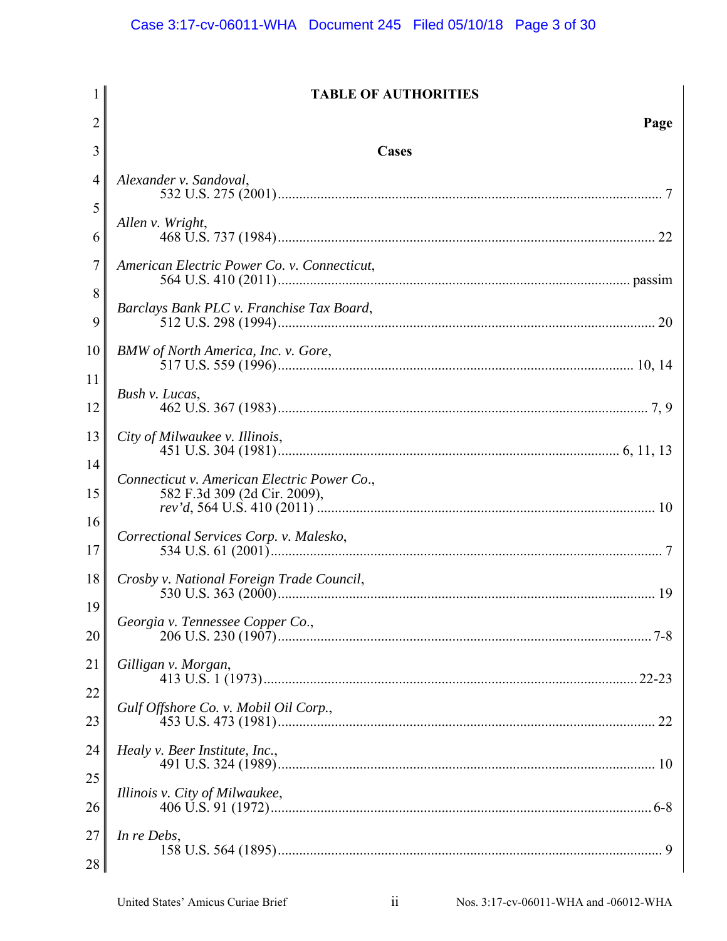|          | <b>TABLE OF AUTHORITIES</b>                                                 |
|----------|-----------------------------------------------------------------------------|
| 2        | Page                                                                        |
| 3        | Cases                                                                       |
| 4        | Alexander v. Sandoval,                                                      |
| 5<br>6   | Allen v. Wright,                                                            |
| 7        | American Electric Power Co. v. Connecticut,                                 |
| 8<br>9   | Barclays Bank PLC v. Franchise Tax Board,                                   |
| 10<br>11 | BMW of North America, Inc. v. Gore,                                         |
| 12       | Bush v. Lucas,                                                              |
| 13       | City of Milwaukee v. Illinois,                                              |
| 14<br>15 | Connecticut v. American Electric Power Co.,<br>582 F.3d 309 (2d Cir. 2009), |
| 16<br>17 | Correctional Services Corp. v. Malesko,                                     |
| 18<br>19 | Crosby v. National Foreign Trade Council,                                   |
| 20       | Georgia v. Tennessee Copper Co.,                                            |
| 21<br>22 | Gilligan v. Morgan,                                                         |
| 23       | Gulf Offshore Co. v. Mobil Oil Corp.,                                       |
| 24<br>25 | Healy v. Beer Institute, Inc.,                                              |
| 26       | Illinois v. City of Milwaukee,                                              |
| 27<br>28 | In re Debs,                                                                 |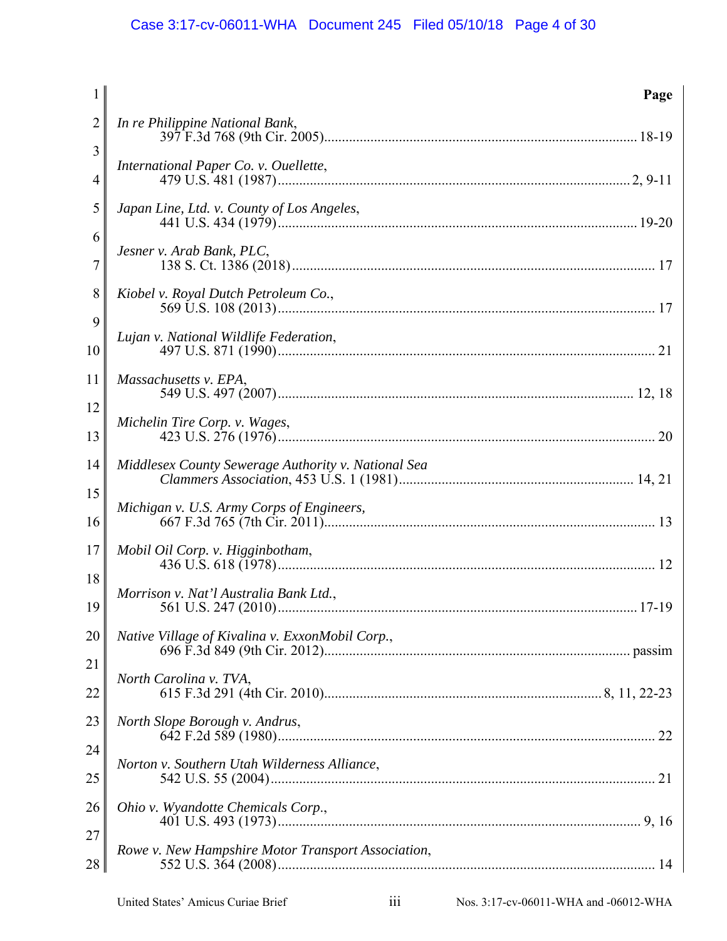| $\mathbf{1}$ | Page                                                |
|--------------|-----------------------------------------------------|
| 2            | In re Philippine National Bank,                     |
| 3<br>4       | International Paper Co. v. Ouellette,               |
| 5            | Japan Line, Ltd. v. County of Los Angeles,          |
| 6<br>7       | Jesner v. Arab Bank, PLC,                           |
| 8<br>9       | Kiobel v. Royal Dutch Petroleum Co.,                |
| 10           | Lujan v. National Wildlife Federation,              |
| 11           | Massachusetts v. EPA,                               |
| 12<br>13     | Michelin Tire Corp. v. Wages,                       |
| 14           | Middlesex County Sewerage Authority v. National Sea |
| 15<br>16     | Michigan v. U.S. Army Corps of Engineers,           |
| 17           | Mobil Oil Corp. v. Higginbotham,                    |
| 18<br>19     | Morrison v. Nat'l Australia Bank Ltd.,              |
| 20           | Native Village of Kivalina v. ExxonMobil Corp.,     |
| 21<br>22     | North Carolina v. TVA,                              |
| 23           | North Slope Borough v. Andrus,                      |
| 24<br>25     | Norton v. Southern Utah Wilderness Alliance,        |
| 26           | Ohio v. Wyandotte Chemicals Corp.,                  |
| 27<br>28     | Rowe v. New Hampshire Motor Transport Association,  |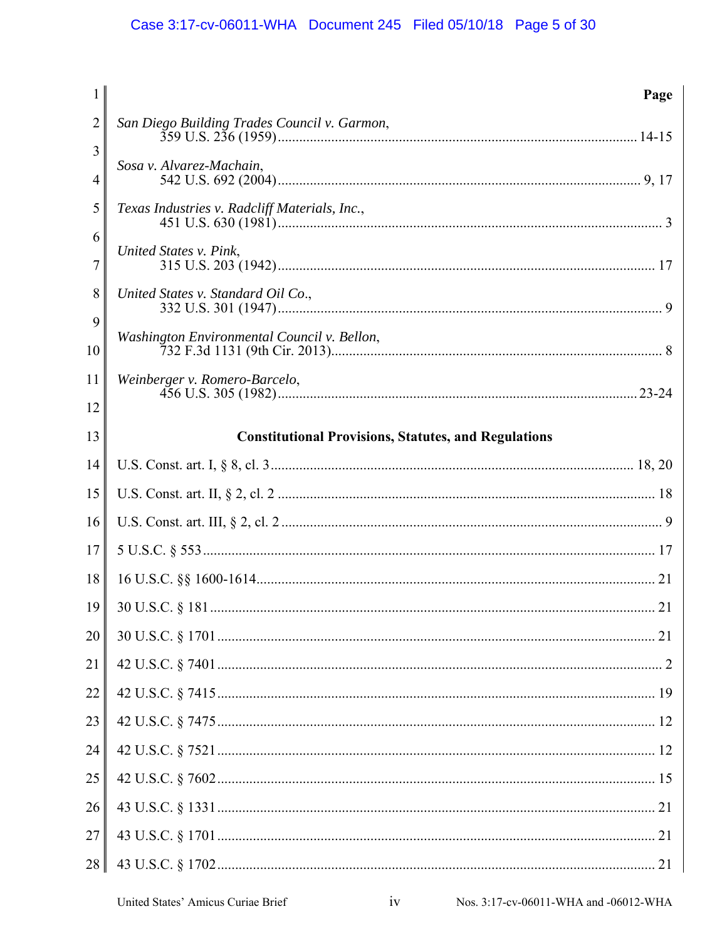| $\mathbf{1}$        | Page                                                        |
|---------------------|-------------------------------------------------------------|
| $\overline{2}$      | San Diego Building Trades Council v. Garmon,                |
| 3<br>$\overline{4}$ | Sosa v. Alvarez-Machain,                                    |
| 5                   | Texas Industries v. Radcliff Materials, Inc.,               |
| 6<br>$\overline{7}$ | United States v. Pink,                                      |
| 8                   | United States v. Standard Oil Co.,                          |
| 9<br>10             | Washington Environmental Council v. Bellon,                 |
| 11                  | Weinberger v. Romero-Barcelo,                               |
| 12                  |                                                             |
| 13                  | <b>Constitutional Provisions, Statutes, and Regulations</b> |
| 14                  |                                                             |
| 15                  |                                                             |
| 16                  |                                                             |
| 17                  |                                                             |
| 18                  |                                                             |
| 19                  |                                                             |
| 20                  |                                                             |
| 21                  |                                                             |
| 22                  |                                                             |
| 23                  |                                                             |
| 24                  |                                                             |
| 25                  |                                                             |
| 26                  |                                                             |
| 27                  |                                                             |
| 28                  |                                                             |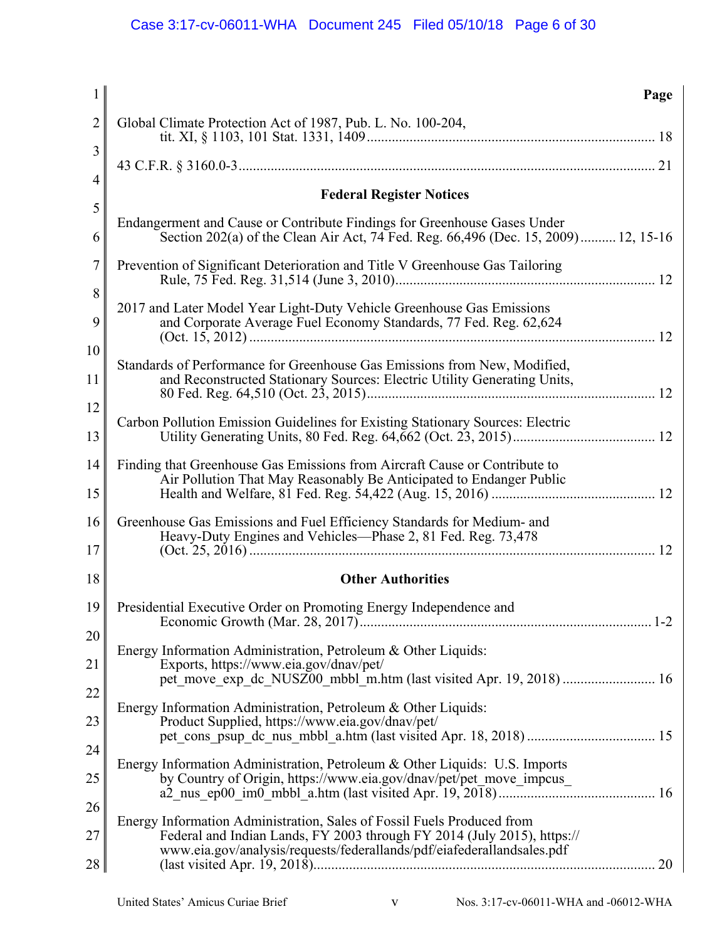| $\mathbf{1}$   | Page                                                                                                                                                                                                                        |
|----------------|-----------------------------------------------------------------------------------------------------------------------------------------------------------------------------------------------------------------------------|
| $\overline{2}$ | Global Climate Protection Act of 1987, Pub. L. No. 100-204,                                                                                                                                                                 |
| 3              |                                                                                                                                                                                                                             |
| $\overline{4}$ | <b>Federal Register Notices</b>                                                                                                                                                                                             |
| 5              |                                                                                                                                                                                                                             |
| 6              | Endangerment and Cause or Contribute Findings for Greenhouse Gases Under<br>Section 202(a) of the Clean Air Act, 74 Fed. Reg. 66,496 (Dec. 15, 2009) 12, 15-16                                                              |
| 7              | Prevention of Significant Deterioration and Title V Greenhouse Gas Tailoring                                                                                                                                                |
| 8              | 2017 and Later Model Year Light-Duty Vehicle Greenhouse Gas Emissions                                                                                                                                                       |
| 9              | and Corporate Average Fuel Economy Standards, 77 Fed. Reg. 62,624                                                                                                                                                           |
| 10             | Standards of Performance for Greenhouse Gas Emissions from New, Modified,                                                                                                                                                   |
| 11             | and Reconstructed Stationary Sources: Electric Utility Generating Units,                                                                                                                                                    |
| 12             | Carbon Pollution Emission Guidelines for Existing Stationary Sources: Electric                                                                                                                                              |
| 13             |                                                                                                                                                                                                                             |
| 14             | Finding that Greenhouse Gas Emissions from Aircraft Cause or Contribute to                                                                                                                                                  |
| 15             | Air Pollution That May Reasonably Be Anticipated to Endanger Public                                                                                                                                                         |
| 16<br>17       | Greenhouse Gas Emissions and Fuel Efficiency Standards for Medium- and<br>Heavy-Duty Engines and Vehicles-Phase 2, 81 Fed. Reg. 73,478                                                                                      |
| 18             | <b>Other Authorities</b>                                                                                                                                                                                                    |
| 19             | Presidential Executive Order on Promoting Energy Independence and                                                                                                                                                           |
| 20             |                                                                                                                                                                                                                             |
| 21             | Energy Information Administration, Petroleum & Other Liquids:<br>Exports, https://www.eia.gov/dnav/pet/                                                                                                                     |
| 22             | pet_move_exp_dc_NUSZ00_mbbl_m.htm (last visited Apr. 19, 2018)  16                                                                                                                                                          |
|                | Energy Information Administration, Petroleum & Other Liquids:                                                                                                                                                               |
| 23             | Product Supplied, https://www.eia.gov/dnav/pet/                                                                                                                                                                             |
| 24             | Energy Information Administration, Petroleum & Other Liquids: U.S. Imports                                                                                                                                                  |
| 25             | by Country of Origin, https://www.eia.gov/dnav/pet/pet move impcus                                                                                                                                                          |
| 26             |                                                                                                                                                                                                                             |
| 27             | Energy Information Administration, Sales of Fossil Fuels Produced from<br>Federal and Indian Lands, FY 2003 through FY 2014 (July 2015), https://<br>www.eia.gov/analysis/requests/federallands/pdf/eiafederallandsales.pdf |
| 28             | 20                                                                                                                                                                                                                          |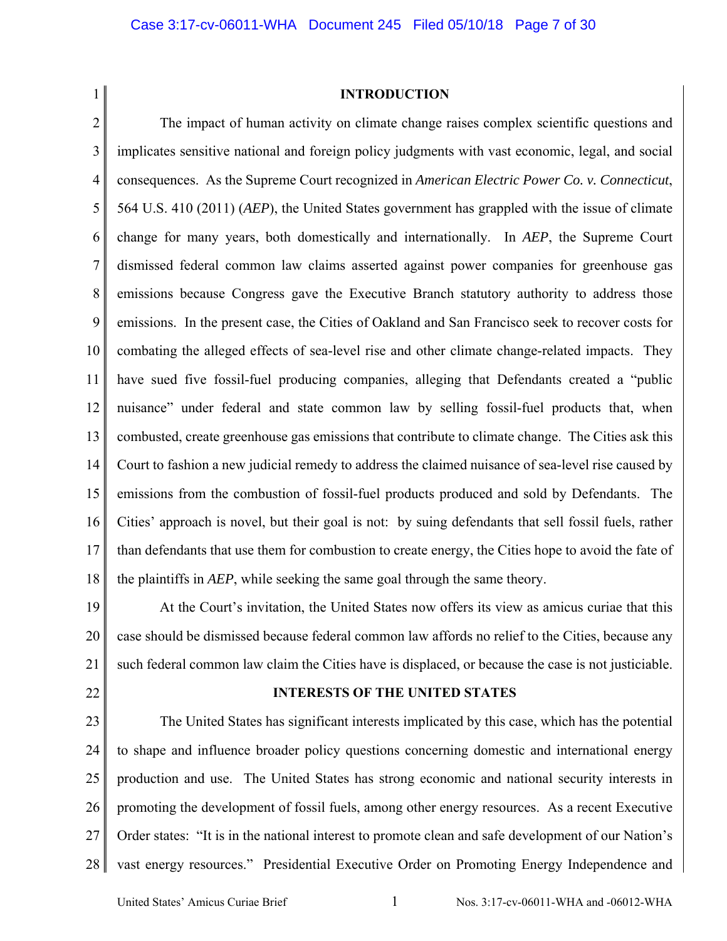1

### **INTRODUCTION**

2 3 4 5 6 7 8 9 10 11 12 13 14 15 16 17 18 The impact of human activity on climate change raises complex scientific questions and implicates sensitive national and foreign policy judgments with vast economic, legal, and social consequences. As the Supreme Court recognized in *American Electric Power Co. v. Connecticut*, 564 U.S. 410 (2011) (*AEP*), the United States government has grappled with the issue of climate change for many years, both domestically and internationally. In *AEP*, the Supreme Court dismissed federal common law claims asserted against power companies for greenhouse gas emissions because Congress gave the Executive Branch statutory authority to address those emissions. In the present case, the Cities of Oakland and San Francisco seek to recover costs for combating the alleged effects of sea-level rise and other climate change-related impacts. They have sued five fossil-fuel producing companies, alleging that Defendants created a "public nuisance" under federal and state common law by selling fossil-fuel products that, when combusted, create greenhouse gas emissions that contribute to climate change. The Cities ask this Court to fashion a new judicial remedy to address the claimed nuisance of sea-level rise caused by emissions from the combustion of fossil-fuel products produced and sold by Defendants. The Cities' approach is novel, but their goal is not: by suing defendants that sell fossil fuels, rather than defendants that use them for combustion to create energy, the Cities hope to avoid the fate of the plaintiffs in *AEP*, while seeking the same goal through the same theory.

19 20 21 At the Court's invitation, the United States now offers its view as amicus curiae that this case should be dismissed because federal common law affords no relief to the Cities, because any such federal common law claim the Cities have is displaced, or because the case is not justiciable.

22

#### **INTERESTS OF THE UNITED STATES**

23 24 25 26 27 28 The United States has significant interests implicated by this case, which has the potential to shape and influence broader policy questions concerning domestic and international energy production and use. The United States has strong economic and national security interests in promoting the development of fossil fuels, among other energy resources. As a recent Executive Order states: "It is in the national interest to promote clean and safe development of our Nation's vast energy resources." Presidential Executive Order on Promoting Energy Independence and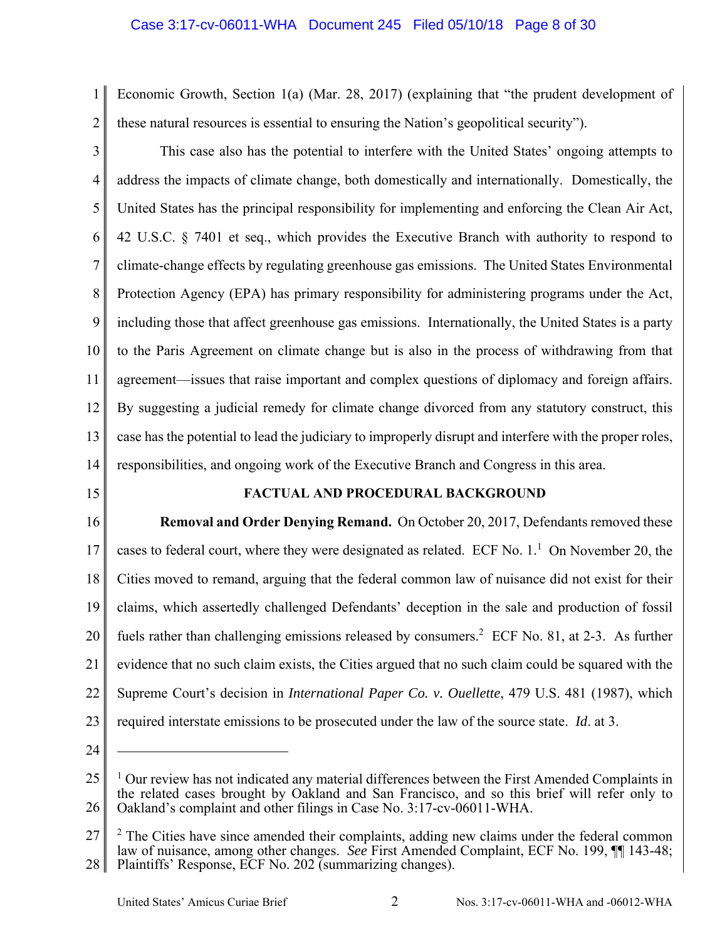# Case 3:17-cv-06011-WHA Document 245 Filed 05/10/18 Page 8 of 30

1 2 Economic Growth, Section 1(a) (Mar. 28, 2017) (explaining that "the prudent development of these natural resources is essential to ensuring the Nation's geopolitical security").

3 4 5 6 7 8 9 10 11 12 13 14 This case also has the potential to interfere with the United States' ongoing attempts to address the impacts of climate change, both domestically and internationally. Domestically, the United States has the principal responsibility for implementing and enforcing the Clean Air Act, 42 U.S.C. § 7401 et seq., which provides the Executive Branch with authority to respond to climate-change effects by regulating greenhouse gas emissions. The United States Environmental Protection Agency (EPA) has primary responsibility for administering programs under the Act, including those that affect greenhouse gas emissions. Internationally, the United States is a party to the Paris Agreement on climate change but is also in the process of withdrawing from that agreement—issues that raise important and complex questions of diplomacy and foreign affairs. By suggesting a judicial remedy for climate change divorced from any statutory construct, this case has the potential to lead the judiciary to improperly disrupt and interfere with the proper roles, responsibilities, and ongoing work of the Executive Branch and Congress in this area.

15

# **FACTUAL AND PROCEDURAL BACKGROUND**

16 17 18 19 20 21 22 23  **Removal and Order Denying Remand.** On October 20, 2017, Defendants removed these cases to federal court, where they were designated as related. ECF No.  $1<sup>1</sup>$  On November 20, the Cities moved to remand, arguing that the federal common law of nuisance did not exist for their claims, which assertedly challenged Defendants' deception in the sale and production of fossil fuels rather than challenging emissions released by consumers.<sup>2</sup> ECF No. 81, at 2-3. As further evidence that no such claim exists, the Cities argued that no such claim could be squared with the Supreme Court's decision in *International Paper Co. v. Ouellette*, 479 U.S. 481 (1987), which required interstate emissions to be prosecuted under the law of the source state. *Id*. at 3.

24

<sup>25</sup> 26 <sup>1</sup> Our review has not indicated any material differences between the First Amended Complaints in the related cases brought by Oakland and San Francisco, and so this brief will refer only to Oakland's complaint and other filings in Case No. 3:17-cv-06011-WHA.

<sup>27</sup> 28  $2$  The Cities have since amended their complaints, adding new claims under the federal common law of nuisance, among other changes. *See* First Amended Complaint, ECF No. 199, ¶¶ 143-48; Plaintiffs' Response, ECF No. 202 (summarizing changes).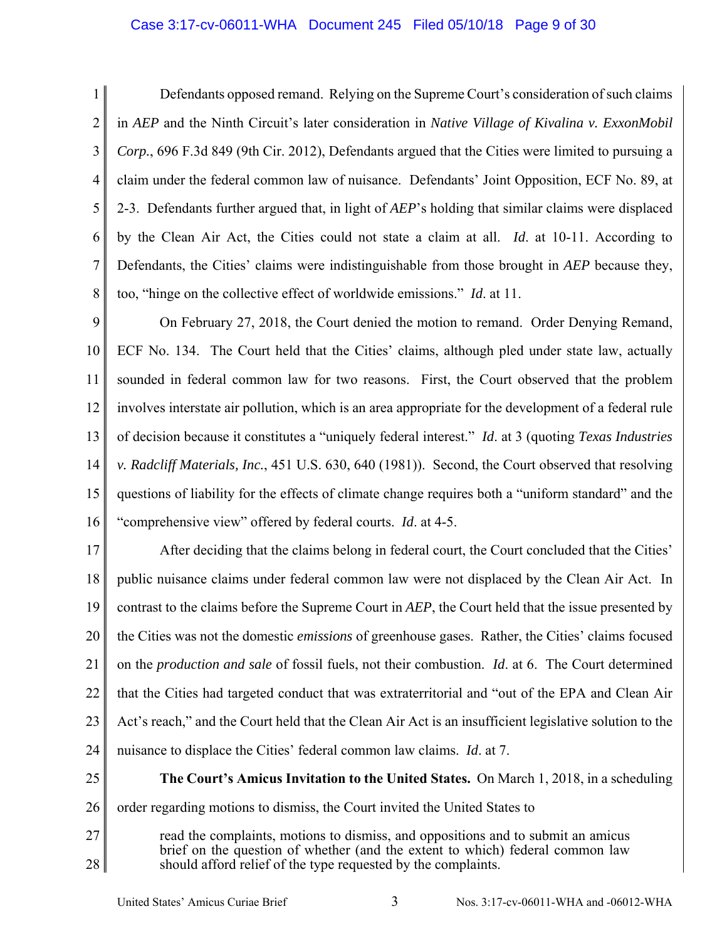## Case 3:17-cv-06011-WHA Document 245 Filed 05/10/18 Page 9 of 30

1 2 3 4 5 6 7 8 Defendants opposed remand. Relying on the Supreme Court's consideration of such claims in *AEP* and the Ninth Circuit's later consideration in *Native Village of Kivalina v. ExxonMobil Corp.*, 696 F.3d 849 (9th Cir. 2012), Defendants argued that the Cities were limited to pursuing a claim under the federal common law of nuisance. Defendants' Joint Opposition, ECF No. 89, at 2-3. Defendants further argued that, in light of *AEP*'s holding that similar claims were displaced by the Clean Air Act, the Cities could not state a claim at all. *Id*. at 10-11. According to Defendants, the Cities' claims were indistinguishable from those brought in *AEP* because they, too, "hinge on the collective effect of worldwide emissions." *Id*. at 11.

9 10 11 12 13 14 15 16 On February 27, 2018, the Court denied the motion to remand. Order Denying Remand, ECF No. 134. The Court held that the Cities' claims, although pled under state law, actually sounded in federal common law for two reasons. First, the Court observed that the problem involves interstate air pollution, which is an area appropriate for the development of a federal rule of decision because it constitutes a "uniquely federal interest." *Id*. at 3 (quoting *Texas Industries v. Radcliff Materials, Inc.*, 451 U.S. 630, 640 (1981)). Second, the Court observed that resolving questions of liability for the effects of climate change requires both a "uniform standard" and the "comprehensive view" offered by federal courts. *Id*. at 4-5.

17 18 19 20 21 22 23 24 After deciding that the claims belong in federal court, the Court concluded that the Cities' public nuisance claims under federal common law were not displaced by the Clean Air Act. In contrast to the claims before the Supreme Court in *AEP*, the Court held that the issue presented by the Cities was not the domestic *emissions* of greenhouse gases. Rather, the Cities' claims focused on the *production and sale* of fossil fuels, not their combustion. *Id*. at 6. The Court determined that the Cities had targeted conduct that was extraterritorial and "out of the EPA and Clean Air Act's reach," and the Court held that the Clean Air Act is an insufficient legislative solution to the nuisance to displace the Cities' federal common law claims. *Id*. at 7.

- 25 26  **The Court's Amicus Invitation to the United States.** On March 1, 2018, in a scheduling order regarding motions to dismiss, the Court invited the United States to
- 27 28 read the complaints, motions to dismiss, and oppositions and to submit an amicus brief on the question of whether (and the extent to which) federal common law should afford relief of the type requested by the complaints.

United States' Amicus Curiae Brief 3 Nos. 3:17-cv-06011-WHA and -06012-WHA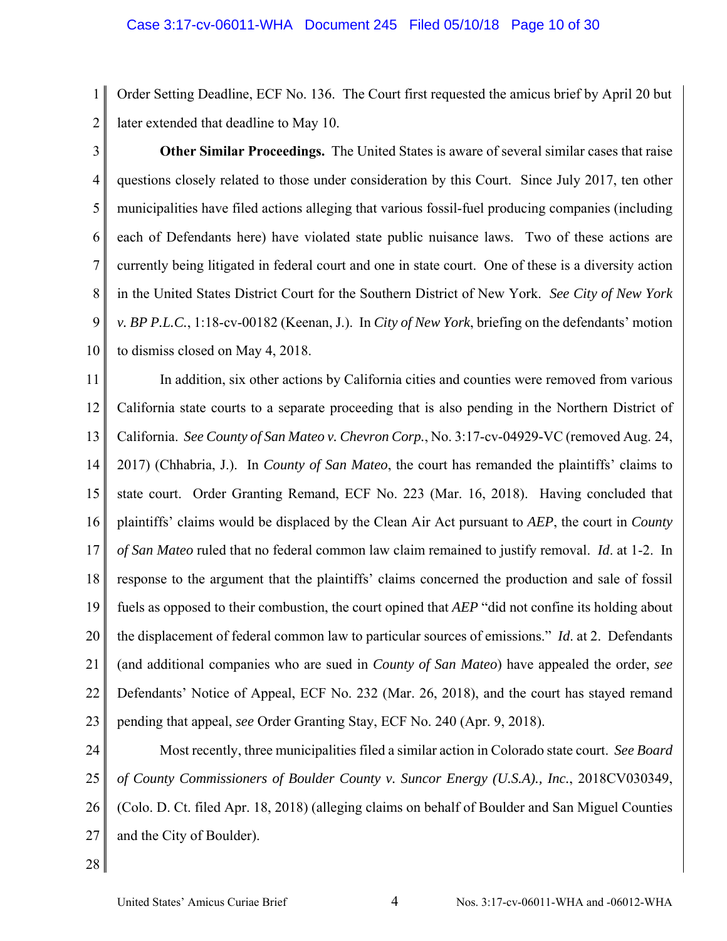1 2 Order Setting Deadline, ECF No. 136. The Court first requested the amicus brief by April 20 but later extended that deadline to May 10.

3

4 5 6 7 8 9 10  **Other Similar Proceedings.** The United States is aware of several similar cases that raise questions closely related to those under consideration by this Court. Since July 2017, ten other municipalities have filed actions alleging that various fossil-fuel producing companies (including each of Defendants here) have violated state public nuisance laws. Two of these actions are currently being litigated in federal court and one in state court. One of these is a diversity action in the United States District Court for the Southern District of New York. *See City of New York v. BP P.L.C.*, 1:18-cv-00182 (Keenan, J.). In *City of New York*, briefing on the defendants' motion to dismiss closed on May 4, 2018.

11 12 13 14 15 16 17 18 19 20 21 22 23 In addition, six other actions by California cities and counties were removed from various California state courts to a separate proceeding that is also pending in the Northern District of California. *See County of San Mateo v. Chevron Corp.*, No. 3:17-cv-04929-VC (removed Aug. 24, 2017) (Chhabria, J.). In *County of San Mateo*, the court has remanded the plaintiffs' claims to state court. Order Granting Remand, ECF No. 223 (Mar. 16, 2018). Having concluded that plaintiffs' claims would be displaced by the Clean Air Act pursuant to *AEP*, the court in *County of San Mateo* ruled that no federal common law claim remained to justify removal. *Id*. at 1-2. In response to the argument that the plaintiffs' claims concerned the production and sale of fossil fuels as opposed to their combustion, the court opined that *AEP* "did not confine its holding about the displacement of federal common law to particular sources of emissions." *Id*. at 2. Defendants (and additional companies who are sued in *County of San Mateo*) have appealed the order, *see*  Defendants' Notice of Appeal, ECF No. 232 (Mar. 26, 2018), and the court has stayed remand pending that appeal, *see* Order Granting Stay, ECF No. 240 (Apr. 9, 2018).

24 25 26 27 Most recently, three municipalities filed a similar action in Colorado state court. *See Board of County Commissioners of Boulder County v. Suncor Energy (U.S.A)., Inc.*, 2018CV030349, (Colo. D. Ct. filed Apr. 18, 2018) (alleging claims on behalf of Boulder and San Miguel Counties and the City of Boulder).

28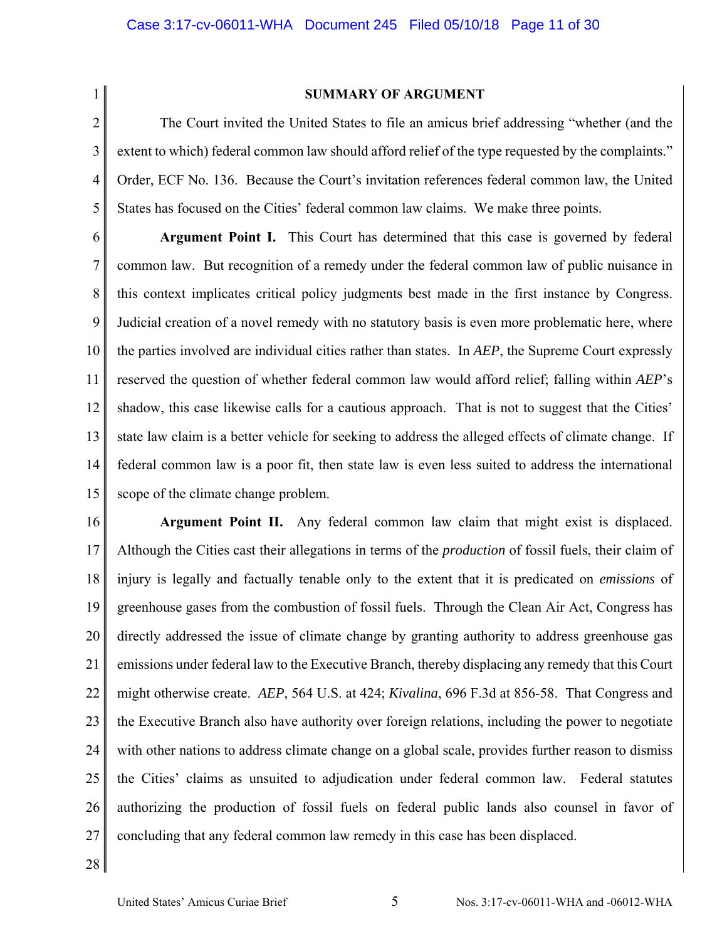1 2

#### **SUMMARY OF ARGUMENT**

3 4 5 The Court invited the United States to file an amicus brief addressing "whether (and the extent to which) federal common law should afford relief of the type requested by the complaints." Order, ECF No. 136. Because the Court's invitation references federal common law, the United States has focused on the Cities' federal common law claims. We make three points.

6 7 8 9 10 11 12 13 14 15  **Argument Point I.** This Court has determined that this case is governed by federal common law. But recognition of a remedy under the federal common law of public nuisance in this context implicates critical policy judgments best made in the first instance by Congress. Judicial creation of a novel remedy with no statutory basis is even more problematic here, where the parties involved are individual cities rather than states. In *AEP*, the Supreme Court expressly reserved the question of whether federal common law would afford relief; falling within *AEP*'s shadow, this case likewise calls for a cautious approach. That is not to suggest that the Cities' state law claim is a better vehicle for seeking to address the alleged effects of climate change. If federal common law is a poor fit, then state law is even less suited to address the international scope of the climate change problem.

16 17 18 19 20 21 22 23 24 25 26 27  **Argument Point II.** Any federal common law claim that might exist is displaced. Although the Cities cast their allegations in terms of the *production* of fossil fuels, their claim of injury is legally and factually tenable only to the extent that it is predicated on *emissions* of greenhouse gases from the combustion of fossil fuels. Through the Clean Air Act, Congress has directly addressed the issue of climate change by granting authority to address greenhouse gas emissions under federal law to the Executive Branch, thereby displacing any remedy that this Court might otherwise create. *AEP*, 564 U.S. at 424; *Kivalina*, 696 F.3d at 856-58. That Congress and the Executive Branch also have authority over foreign relations, including the power to negotiate with other nations to address climate change on a global scale, provides further reason to dismiss the Cities' claims as unsuited to adjudication under federal common law. Federal statutes authorizing the production of fossil fuels on federal public lands also counsel in favor of concluding that any federal common law remedy in this case has been displaced.

28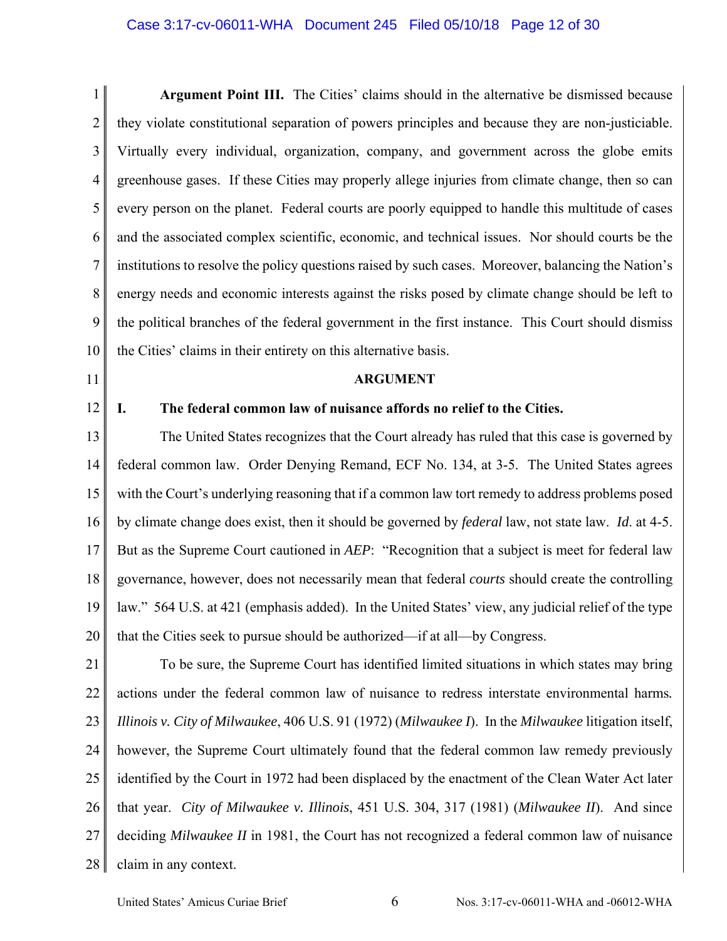### Case 3:17-cv-06011-WHA Document 245 Filed 05/10/18 Page 12 of 30

1 2 3 4 5 6 7 8 9 10 **Argument Point III.** The Cities' claims should in the alternative be dismissed because they violate constitutional separation of powers principles and because they are non-justiciable. Virtually every individual, organization, company, and government across the globe emits greenhouse gases. If these Cities may properly allege injuries from climate change, then so can every person on the planet. Federal courts are poorly equipped to handle this multitude of cases and the associated complex scientific, economic, and technical issues. Nor should courts be the institutions to resolve the policy questions raised by such cases. Moreover, balancing the Nation's energy needs and economic interests against the risks posed by climate change should be left to the political branches of the federal government in the first instance. This Court should dismiss the Cities' claims in their entirety on this alternative basis.

- 11
- 12

### **ARGUMENT**

#### **I. The federal common law of nuisance affords no relief to the Cities.**

13 14 15 16 17 18 19 20 The United States recognizes that the Court already has ruled that this case is governed by federal common law. Order Denying Remand, ECF No. 134, at 3-5. The United States agrees with the Court's underlying reasoning that if a common law tort remedy to address problems posed by climate change does exist, then it should be governed by *federal* law, not state law. *Id*. at 4-5. But as the Supreme Court cautioned in *AEP*: "Recognition that a subject is meet for federal law governance, however, does not necessarily mean that federal *courts* should create the controlling law." 564 U.S. at 421 (emphasis added). In the United States' view, any judicial relief of the type that the Cities seek to pursue should be authorized—if at all—by Congress.

21 22 23 24 25 26 27 28 To be sure, the Supreme Court has identified limited situations in which states may bring actions under the federal common law of nuisance to redress interstate environmental harms*. Illinois v. City of Milwaukee*, 406 U.S. 91 (1972) (*Milwaukee I*). In the *Milwaukee* litigation itself, however, the Supreme Court ultimately found that the federal common law remedy previously identified by the Court in 1972 had been displaced by the enactment of the Clean Water Act later that year. *City of Milwaukee v. Illinois*, 451 U.S. 304, 317 (1981) (*Milwaukee II*). And since deciding *Milwaukee II* in 1981, the Court has not recognized a federal common law of nuisance claim in any context.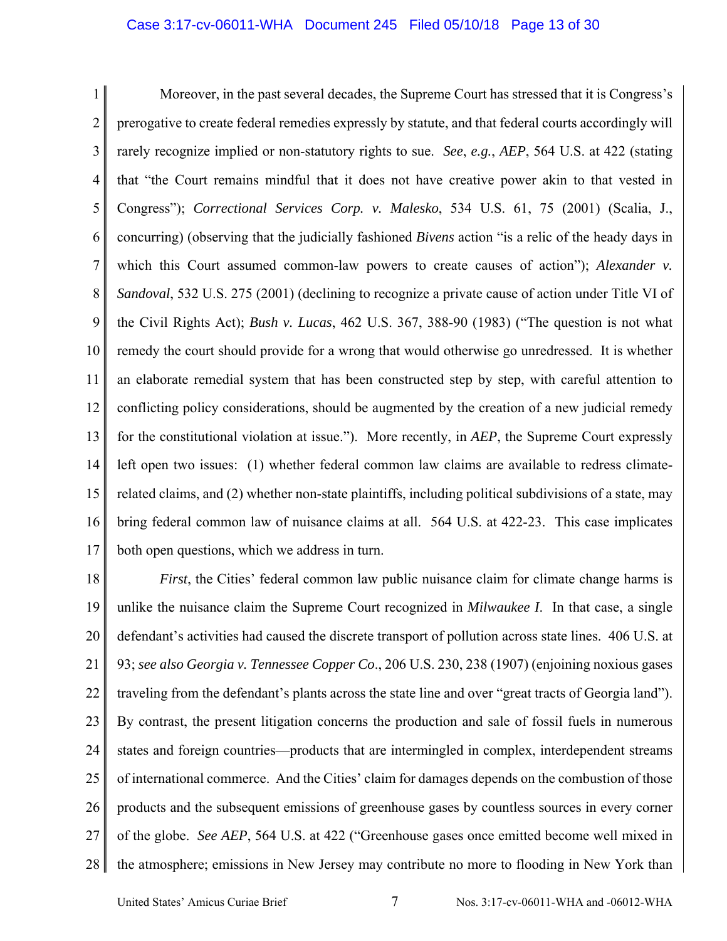### Case 3:17-cv-06011-WHA Document 245 Filed 05/10/18 Page 13 of 30

1 2 3 4 5 6 7 8 9 10 11 12 13 14 15 16 17 Moreover, in the past several decades, the Supreme Court has stressed that it is Congress's prerogative to create federal remedies expressly by statute, and that federal courts accordingly will rarely recognize implied or non-statutory rights to sue. *See*, *e.g.*, *AEP*, 564 U.S. at 422 (stating that "the Court remains mindful that it does not have creative power akin to that vested in Congress"); *Correctional Services Corp. v. Malesko*, 534 U.S. 61, 75 (2001) (Scalia, J., concurring) (observing that the judicially fashioned *Bivens* action "is a relic of the heady days in which this Court assumed common-law powers to create causes of action"); *Alexander v. Sandoval*, 532 U.S. 275 (2001) (declining to recognize a private cause of action under Title VI of the Civil Rights Act); *Bush v. Lucas*, 462 U.S. 367, 388-90 (1983) ("The question is not what remedy the court should provide for a wrong that would otherwise go unredressed. It is whether an elaborate remedial system that has been constructed step by step, with careful attention to conflicting policy considerations, should be augmented by the creation of a new judicial remedy for the constitutional violation at issue."). More recently, in *AEP*, the Supreme Court expressly left open two issues: (1) whether federal common law claims are available to redress climaterelated claims, and (2) whether non-state plaintiffs, including political subdivisions of a state, may bring federal common law of nuisance claims at all. 564 U.S. at 422-23. This case implicates both open questions, which we address in turn.

18 19 20 21 22 23 24 25 26 27 28 *First*, the Cities' federal common law public nuisance claim for climate change harms is unlike the nuisance claim the Supreme Court recognized in *Milwaukee I*. In that case, a single defendant's activities had caused the discrete transport of pollution across state lines. 406 U.S. at 93; *see also Georgia v. Tennessee Copper Co*., 206 U.S. 230, 238 (1907) (enjoining noxious gases traveling from the defendant's plants across the state line and over "great tracts of Georgia land"). By contrast, the present litigation concerns the production and sale of fossil fuels in numerous states and foreign countries—products that are intermingled in complex, interdependent streams of international commerce. And the Cities' claim for damages depends on the combustion of those products and the subsequent emissions of greenhouse gases by countless sources in every corner of the globe. *See AEP*, 564 U.S. at 422 ("Greenhouse gases once emitted become well mixed in the atmosphere; emissions in New Jersey may contribute no more to flooding in New York than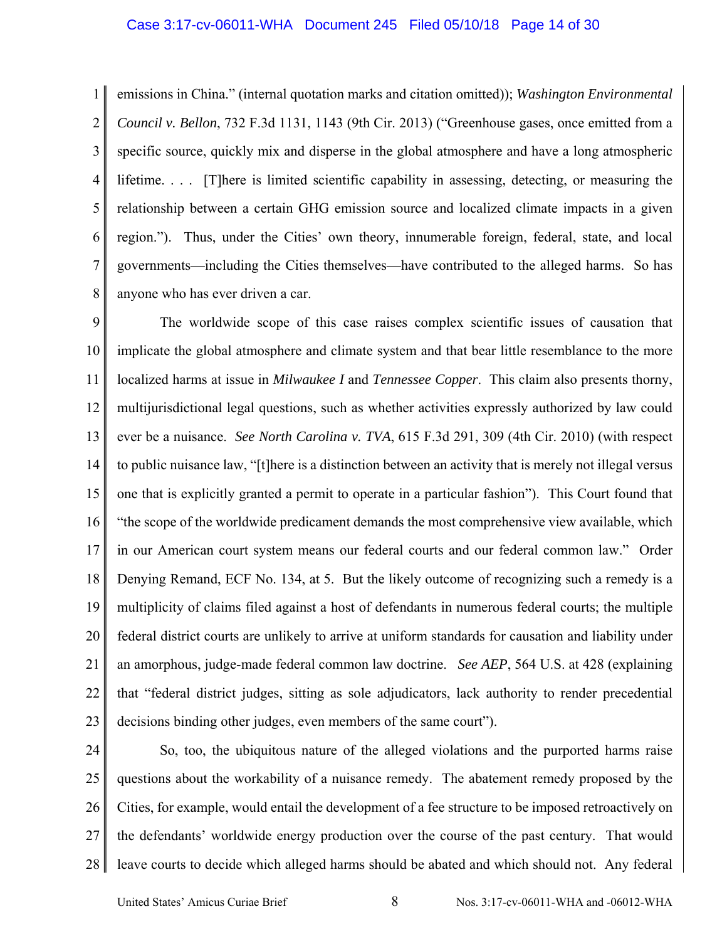1 2 3 4 5 6 7 8 emissions in China." (internal quotation marks and citation omitted)); *Washington Environmental Council v. Bellon*, 732 F.3d 1131, 1143 (9th Cir. 2013) ("Greenhouse gases, once emitted from a specific source, quickly mix and disperse in the global atmosphere and have a long atmospheric lifetime. . . . [T]here is limited scientific capability in assessing, detecting, or measuring the relationship between a certain GHG emission source and localized climate impacts in a given region."). Thus, under the Cities' own theory, innumerable foreign, federal, state, and local governments—including the Cities themselves—have contributed to the alleged harms. So has anyone who has ever driven a car.

9 10 11 12 13 14 15 16 17 18 19 20 21 22 23 The worldwide scope of this case raises complex scientific issues of causation that implicate the global atmosphere and climate system and that bear little resemblance to the more localized harms at issue in *Milwaukee I* and *Tennessee Copper*. This claim also presents thorny, multijurisdictional legal questions, such as whether activities expressly authorized by law could ever be a nuisance. *See North Carolina v. TVA*, 615 F.3d 291, 309 (4th Cir. 2010) (with respect to public nuisance law, "[t]here is a distinction between an activity that is merely not illegal versus one that is explicitly granted a permit to operate in a particular fashion"). This Court found that "the scope of the worldwide predicament demands the most comprehensive view available, which in our American court system means our federal courts and our federal common law." Order Denying Remand, ECF No. 134, at 5. But the likely outcome of recognizing such a remedy is a multiplicity of claims filed against a host of defendants in numerous federal courts; the multiple federal district courts are unlikely to arrive at uniform standards for causation and liability under an amorphous, judge-made federal common law doctrine. *See AEP*, 564 U.S. at 428 (explaining that "federal district judges, sitting as sole adjudicators, lack authority to render precedential decisions binding other judges, even members of the same court").

24 25 26 27 28 So, too, the ubiquitous nature of the alleged violations and the purported harms raise questions about the workability of a nuisance remedy. The abatement remedy proposed by the Cities, for example, would entail the development of a fee structure to be imposed retroactively on the defendants' worldwide energy production over the course of the past century. That would leave courts to decide which alleged harms should be abated and which should not. Any federal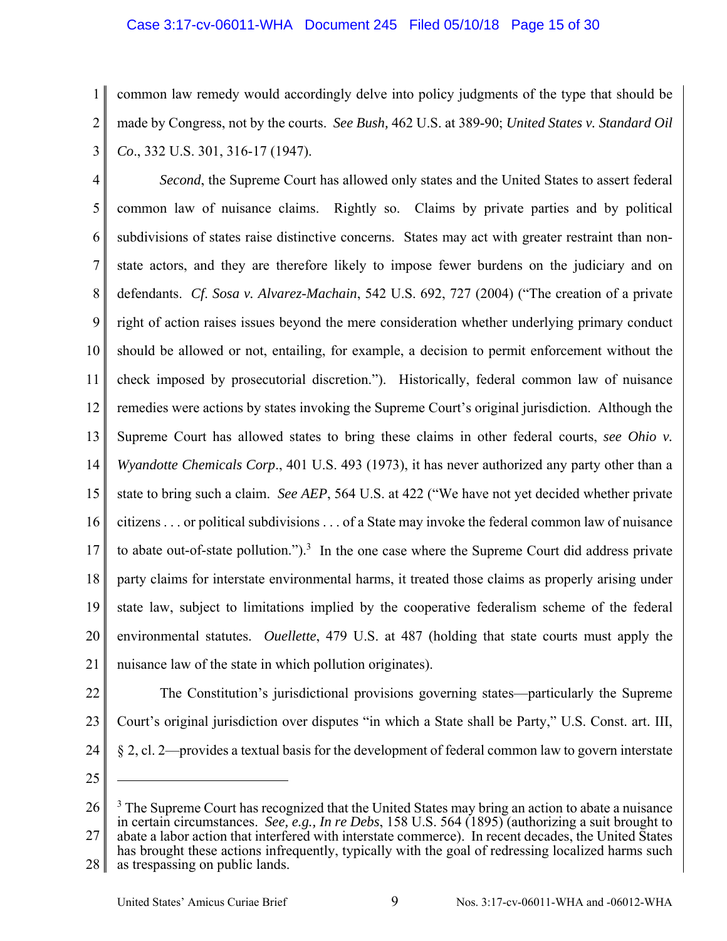## Case 3:17-cv-06011-WHA Document 245 Filed 05/10/18 Page 15 of 30

1 2 3 common law remedy would accordingly delve into policy judgments of the type that should be made by Congress, not by the courts. *See Bush,* 462 U.S. at 389-90; *United States v. Standard Oil Co*., 332 U.S. 301, 316-17 (1947).

4 5 6 7 8 9 10 11 12 13 14 15 16 17 18 19 20 21 *Second*, the Supreme Court has allowed only states and the United States to assert federal common law of nuisance claims. Rightly so. Claims by private parties and by political subdivisions of states raise distinctive concerns. States may act with greater restraint than nonstate actors, and they are therefore likely to impose fewer burdens on the judiciary and on defendants. *Cf*. *Sosa v. Alvarez-Machain*, 542 U.S. 692, 727 (2004) ("The creation of a private right of action raises issues beyond the mere consideration whether underlying primary conduct should be allowed or not, entailing, for example, a decision to permit enforcement without the check imposed by prosecutorial discretion."). Historically, federal common law of nuisance remedies were actions by states invoking the Supreme Court's original jurisdiction. Although the Supreme Court has allowed states to bring these claims in other federal courts, *see Ohio v. Wyandotte Chemicals Corp*., 401 U.S. 493 (1973), it has never authorized any party other than a state to bring such a claim. *See AEP*, 564 U.S. at 422 ("We have not yet decided whether private citizens . . . or political subdivisions . . . of a State may invoke the federal common law of nuisance to abate out-of-state pollution.").<sup>3</sup> In the one case where the Supreme Court did address private party claims for interstate environmental harms, it treated those claims as properly arising under state law, subject to limitations implied by the cooperative federalism scheme of the federal environmental statutes. *Ouellette*, 479 U.S. at 487 (holding that state courts must apply the nuisance law of the state in which pollution originates).

22

23 24 The Constitution's jurisdictional provisions governing states—particularly the Supreme Court's original jurisdiction over disputes "in which a State shall be Party," U.S. Const. art. III, § 2, cl. 2—provides a textual basis for the development of federal common law to govern interstate

25

<sup>26</sup> 27  $3$  The Supreme Court has recognized that the United States may bring an action to abate a nuisance in certain circumstances. *See, e.g., In re Debs*, 158 U.S. 564 (1895) (authorizing a suit brought to abate a labor action that interfered with interstate commerce). In recent decades, the United States has brought these actions infrequently, typically with the goal of redressing localized harms such

<sup>28</sup> as trespassing on public lands.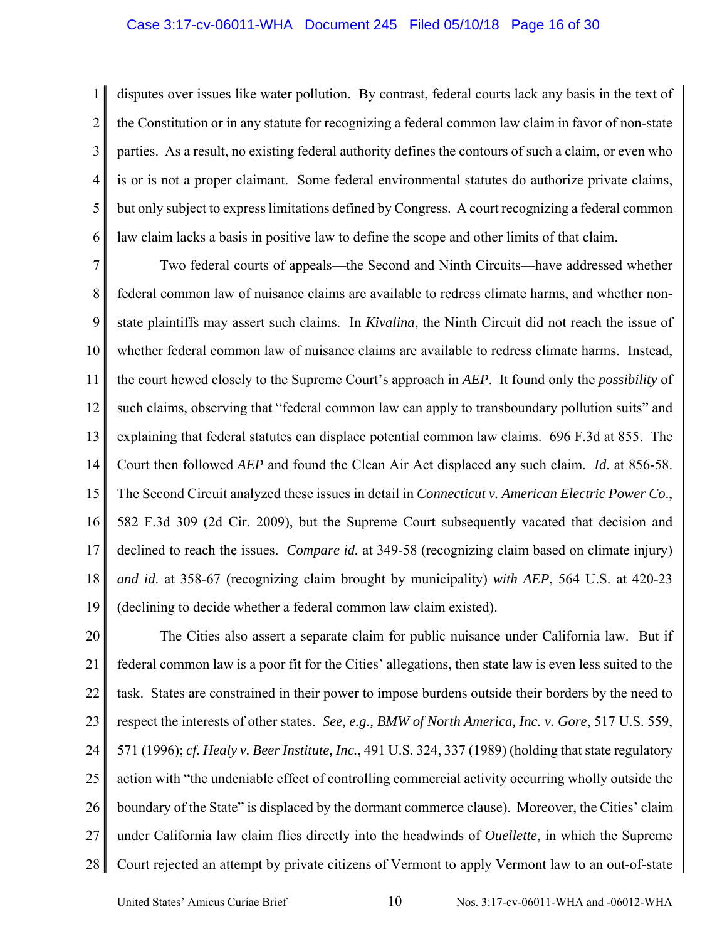### Case 3:17-cv-06011-WHA Document 245 Filed 05/10/18 Page 16 of 30

1 2 3 4 5 6 disputes over issues like water pollution. By contrast, federal courts lack any basis in the text of the Constitution or in any statute for recognizing a federal common law claim in favor of non-state parties. As a result, no existing federal authority defines the contours of such a claim, or even who is or is not a proper claimant. Some federal environmental statutes do authorize private claims, but only subject to express limitations defined by Congress. A court recognizing a federal common law claim lacks a basis in positive law to define the scope and other limits of that claim.

7 8 9 10 11 12 13 14 15 16 17 18 19 Two federal courts of appeals—the Second and Ninth Circuits—have addressed whether federal common law of nuisance claims are available to redress climate harms, and whether nonstate plaintiffs may assert such claims. In *Kivalina*, the Ninth Circuit did not reach the issue of whether federal common law of nuisance claims are available to redress climate harms. Instead, the court hewed closely to the Supreme Court's approach in *AEP*. It found only the *possibility* of such claims, observing that "federal common law can apply to transboundary pollution suits" and explaining that federal statutes can displace potential common law claims. 696 F.3d at 855. The Court then followed *AEP* and found the Clean Air Act displaced any such claim. *Id*. at 856-58. The Second Circuit analyzed these issues in detail in *Connecticut v. American Electric Power Co*., 582 F.3d 309 (2d Cir. 2009), but the Supreme Court subsequently vacated that decision and declined to reach the issues. *Compare id.* at 349-58 (recognizing claim based on climate injury) *and id*. at 358-67 (recognizing claim brought by municipality) *with AEP*, 564 U.S. at 420-23 (declining to decide whether a federal common law claim existed).

20 21 22 23 24 25 26 27 28 The Cities also assert a separate claim for public nuisance under California law. But if federal common law is a poor fit for the Cities' allegations, then state law is even less suited to the task. States are constrained in their power to impose burdens outside their borders by the need to respect the interests of other states. *See, e.g., BMW of North America, Inc. v. Gore*, 517 U.S. 559, 571 (1996); *cf. Healy v. Beer Institute, Inc.*, 491 U.S. 324, 337 (1989) (holding that state regulatory action with "the undeniable effect of controlling commercial activity occurring wholly outside the boundary of the State" is displaced by the dormant commerce clause). Moreover, the Cities' claim under California law claim flies directly into the headwinds of *Ouellette*, in which the Supreme Court rejected an attempt by private citizens of Vermont to apply Vermont law to an out-of-state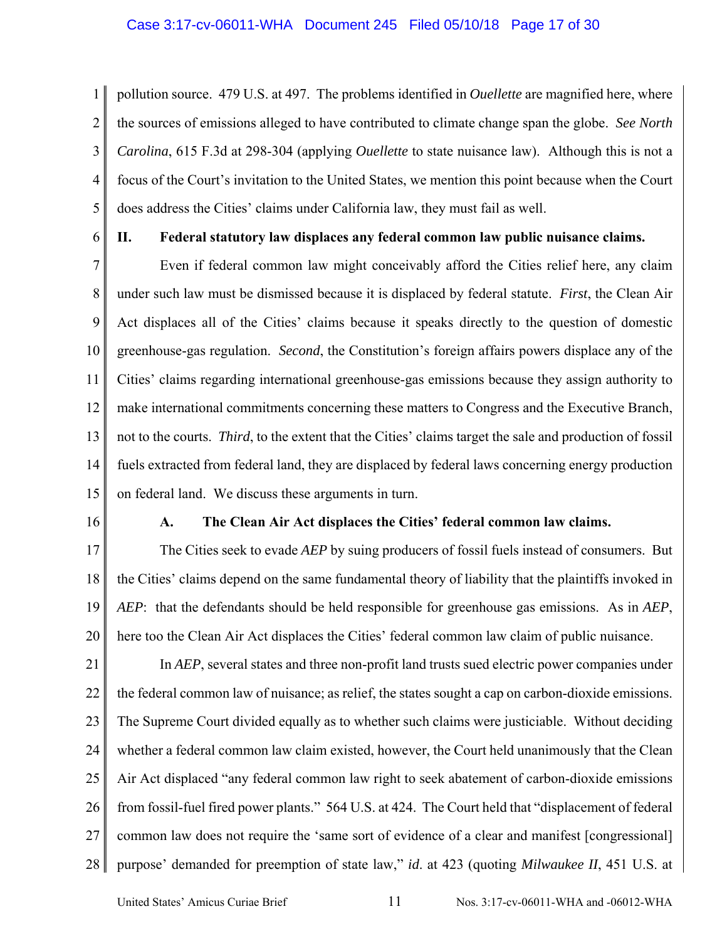1 2 3 4 5 pollution source. 479 U.S. at 497. The problems identified in *Ouellette* are magnified here, where the sources of emissions alleged to have contributed to climate change span the globe. *See North Carolina*, 615 F.3d at 298-304 (applying *Ouellette* to state nuisance law). Although this is not a focus of the Court's invitation to the United States, we mention this point because when the Court does address the Cities' claims under California law, they must fail as well.

6

# **II. Federal statutory law displaces any federal common law public nuisance claims.**

7 8 9 10 11 12 13 14 15 Even if federal common law might conceivably afford the Cities relief here, any claim under such law must be dismissed because it is displaced by federal statute. *First*, the Clean Air Act displaces all of the Cities' claims because it speaks directly to the question of domestic greenhouse-gas regulation. *Second*, the Constitution's foreign affairs powers displace any of the Cities' claims regarding international greenhouse-gas emissions because they assign authority to make international commitments concerning these matters to Congress and the Executive Branch, not to the courts. *Third*, to the extent that the Cities' claims target the sale and production of fossil fuels extracted from federal land, they are displaced by federal laws concerning energy production on federal land. We discuss these arguments in turn.

16

## **A. The Clean Air Act displaces the Cities' federal common law claims.**

17 18 19 20 The Cities seek to evade *AEP* by suing producers of fossil fuels instead of consumers. But the Cities' claims depend on the same fundamental theory of liability that the plaintiffs invoked in *AEP*: that the defendants should be held responsible for greenhouse gas emissions. As in *AEP*, here too the Clean Air Act displaces the Cities' federal common law claim of public nuisance.

21 22 23 24 25 26 27 28 In *AEP*, several states and three non-profit land trusts sued electric power companies under the federal common law of nuisance; as relief, the states sought a cap on carbon-dioxide emissions. The Supreme Court divided equally as to whether such claims were justiciable. Without deciding whether a federal common law claim existed, however, the Court held unanimously that the Clean Air Act displaced "any federal common law right to seek abatement of carbon-dioxide emissions from fossil-fuel fired power plants." 564 U.S. at 424. The Court held that "displacement of federal common law does not require the 'same sort of evidence of a clear and manifest [congressional] purpose' demanded for preemption of state law," *id*. at 423 (quoting *Milwaukee II*, 451 U.S. at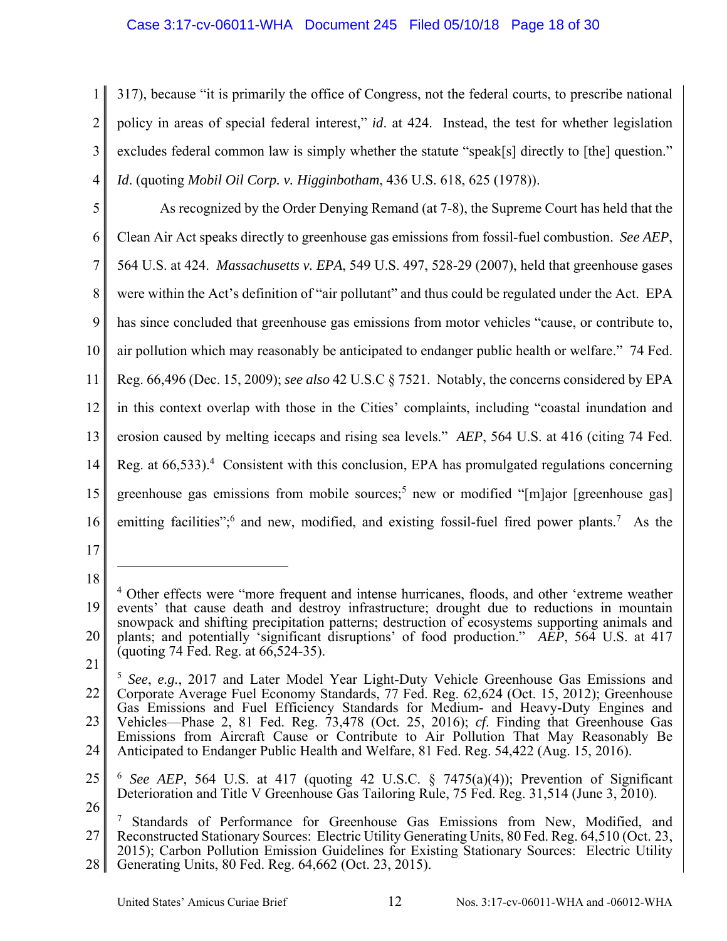# Case 3:17-cv-06011-WHA Document 245 Filed 05/10/18 Page 18 of 30

1 2 3 4 317), because "it is primarily the office of Congress, not the federal courts, to prescribe national policy in areas of special federal interest," *id*. at 424. Instead, the test for whether legislation excludes federal common law is simply whether the statute "speak[s] directly to [the] question." *Id*. (quoting *Mobil Oil Corp. v. Higginbotham*, 436 U.S. 618, 625 (1978)).

5 6 7 8 9 10 11 12 13 14 15 16 As recognized by the Order Denying Remand (at 7-8), the Supreme Court has held that the Clean Air Act speaks directly to greenhouse gas emissions from fossil-fuel combustion. *See AEP*, 564 U.S. at 424. *Massachusetts v. EPA*, 549 U.S. 497, 528-29 (2007), held that greenhouse gases were within the Act's definition of "air pollutant" and thus could be regulated under the Act. EPA has since concluded that greenhouse gas emissions from motor vehicles "cause, or contribute to, air pollution which may reasonably be anticipated to endanger public health or welfare." 74 Fed. Reg. 66,496 (Dec. 15, 2009); *see also* 42 U.S.C § 7521. Notably, the concerns considered by EPA in this context overlap with those in the Cities' complaints, including "coastal inundation and erosion caused by melting icecaps and rising sea levels." *AEP*, 564 U.S. at 416 (citing 74 Fed. Reg. at 66,533).<sup>4</sup> Consistent with this conclusion, EPA has promulgated regulations concerning greenhouse gas emissions from mobile sources;<sup>5</sup> new or modified "[m]ajor [greenhouse gas] emitting facilities"; and new, modified, and existing fossil-fuel fired power plants.<sup>7</sup> As the

- 17
- 18

 $\overline{a}$ 

21

<sup>19</sup> 20 <sup>4</sup> Other effects were "more frequent and intense hurricanes, floods, and other 'extreme weather events' that cause death and destroy infrastructure; drought due to reductions in mountain snowpack and shifting precipitation patterns; destruction of ecosystems supporting animals and plants; and potentially 'significant disruptions' of food production." *AEP*, 564 U.S. at 417 (quoting 74 Fed. Reg. at 66,524-35).

<sup>22</sup> 23 24 <sup>5</sup> *See*, *e.g.*, 2017 and Later Model Year Light-Duty Vehicle Greenhouse Gas Emissions and Corporate Average Fuel Economy Standards, 77 Fed. Reg. 62,624 (Oct. 15, 2012); Greenhouse Gas Emissions and Fuel Efficiency Standards for Medium- and Heavy-Duty Engines and Vehicles—Phase 2, 81 Fed. Reg. 73,478 (Oct. 25, 2016); *cf*. Finding that Greenhouse Gas Emissions from Aircraft Cause or Contribute to Air Pollution That May Reasonably Be Anticipated to Endanger Public Health and Welfare, 81 Fed. Reg. 54,422 (Aug. 15, 2016).

<sup>25</sup> 26 <sup>6</sup> *See AEP*, 564 U.S. at 417 (quoting 42 U.S.C. § 7475(a)(4)); Prevention of Significant Deterioration and Title V Greenhouse Gas Tailoring Rule, 75 Fed. Reg. 31,514 (June 3, 2010).

<sup>27</sup> 28 7 Standards of Performance for Greenhouse Gas Emissions from New, Modified, and Reconstructed Stationary Sources: Electric Utility Generating Units, 80 Fed. Reg. 64,510 (Oct. 23, 2015); Carbon Pollution Emission Guidelines for Existing Stationary Sources: Electric Utility Generating Units, 80 Fed. Reg. 64,662 (Oct. 23, 2015).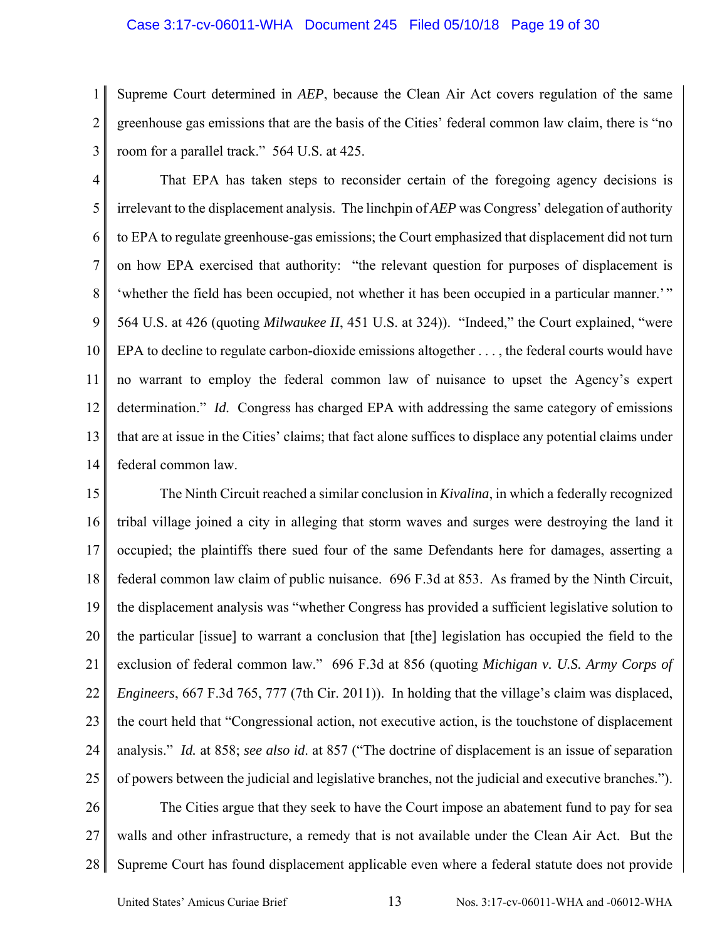#### Case 3:17-cv-06011-WHA Document 245 Filed 05/10/18 Page 19 of 30

1 2 3 Supreme Court determined in *AEP*, because the Clean Air Act covers regulation of the same greenhouse gas emissions that are the basis of the Cities' federal common law claim, there is "no room for a parallel track." 564 U.S. at 425.

4 5 6 7 8 9 10 11 12 13 14 That EPA has taken steps to reconsider certain of the foregoing agency decisions is irrelevant to the displacement analysis. The linchpin of *AEP* was Congress' delegation of authority to EPA to regulate greenhouse-gas emissions; the Court emphasized that displacement did not turn on how EPA exercised that authority: "the relevant question for purposes of displacement is 'whether the field has been occupied, not whether it has been occupied in a particular manner.'" 564 U.S. at 426 (quoting *Milwaukee II*, 451 U.S. at 324)). "Indeed," the Court explained, "were EPA to decline to regulate carbon-dioxide emissions altogether . . . , the federal courts would have no warrant to employ the federal common law of nuisance to upset the Agency's expert determination." *Id.* Congress has charged EPA with addressing the same category of emissions that are at issue in the Cities' claims; that fact alone suffices to displace any potential claims under federal common law.

15 16 17 18 19 20 21 22 23 24 25 The Ninth Circuit reached a similar conclusion in *Kivalina*, in which a federally recognized tribal village joined a city in alleging that storm waves and surges were destroying the land it occupied; the plaintiffs there sued four of the same Defendants here for damages, asserting a federal common law claim of public nuisance. 696 F.3d at 853. As framed by the Ninth Circuit, the displacement analysis was "whether Congress has provided a sufficient legislative solution to the particular [issue] to warrant a conclusion that [the] legislation has occupied the field to the exclusion of federal common law." 696 F.3d at 856 (quoting *Michigan v. U.S. Army Corps of Engineers*, 667 F.3d 765, 777 (7th Cir. 2011)). In holding that the village's claim was displaced, the court held that "Congressional action, not executive action, is the touchstone of displacement analysis." *Id.* at 858; *see also id*. at 857 ("The doctrine of displacement is an issue of separation of powers between the judicial and legislative branches, not the judicial and executive branches.").

26 27 28 The Cities argue that they seek to have the Court impose an abatement fund to pay for sea walls and other infrastructure, a remedy that is not available under the Clean Air Act. But the Supreme Court has found displacement applicable even where a federal statute does not provide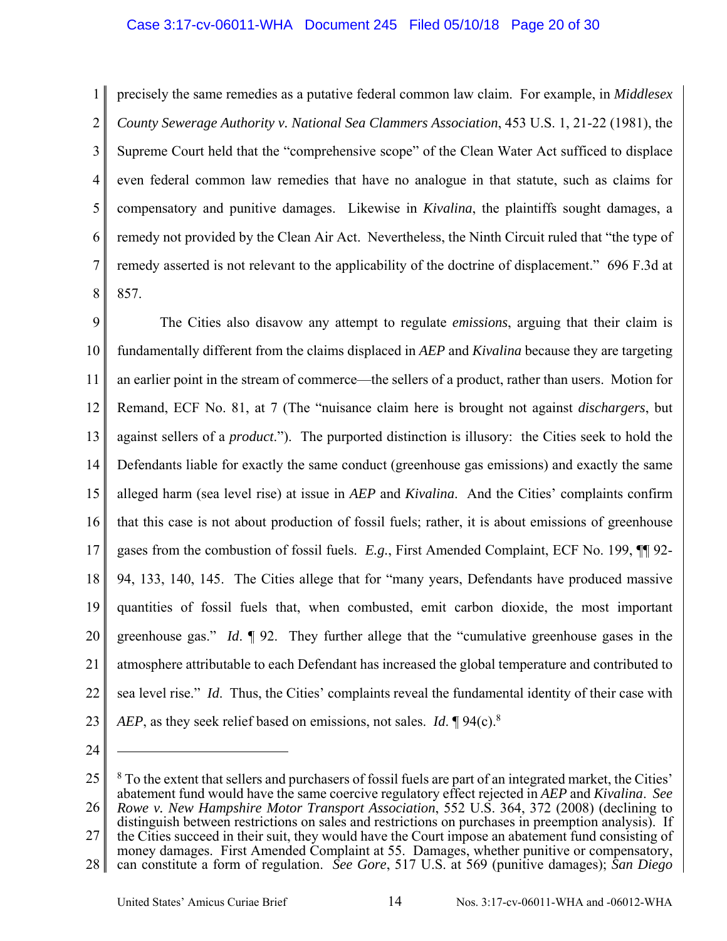## Case 3:17-cv-06011-WHA Document 245 Filed 05/10/18 Page 20 of 30

1 2 3 4 5 6 7 8 precisely the same remedies as a putative federal common law claim. For example, in *Middlesex County Sewerage Authority v. National Sea Clammers Association*, 453 U.S. 1, 21-22 (1981), the Supreme Court held that the "comprehensive scope" of the Clean Water Act sufficed to displace even federal common law remedies that have no analogue in that statute, such as claims for compensatory and punitive damages. Likewise in *Kivalina*, the plaintiffs sought damages, a remedy not provided by the Clean Air Act. Nevertheless, the Ninth Circuit ruled that "the type of remedy asserted is not relevant to the applicability of the doctrine of displacement." 696 F.3d at 857.

9 10 11 12 13 14 15 16 17 18 19 20 21 22 23 The Cities also disavow any attempt to regulate *emissions*, arguing that their claim is fundamentally different from the claims displaced in *AEP* and *Kivalina* because they are targeting an earlier point in the stream of commerce—the sellers of a product, rather than users. Motion for Remand, ECF No. 81, at 7 (The "nuisance claim here is brought not against *dischargers*, but against sellers of a *product*."). The purported distinction is illusory: the Cities seek to hold the Defendants liable for exactly the same conduct (greenhouse gas emissions) and exactly the same alleged harm (sea level rise) at issue in *AEP* and *Kivalina*. And the Cities' complaints confirm that this case is not about production of fossil fuels; rather, it is about emissions of greenhouse gases from the combustion of fossil fuels. *E.g.*, First Amended Complaint, ECF No. 199, ¶¶ 92- 94, 133, 140, 145. The Cities allege that for "many years, Defendants have produced massive quantities of fossil fuels that, when combusted, emit carbon dioxide, the most important greenhouse gas." *Id*. ¶ 92. They further allege that the "cumulative greenhouse gases in the atmosphere attributable to each Defendant has increased the global temperature and contributed to sea level rise." *Id*. Thus, the Cities' complaints reveal the fundamental identity of their case with *AEP*, as they seek relief based on emissions, not sales. *Id*. ¶ 94(c).8

24

<sup>25</sup> 26  $8$  To the extent that sellers and purchasers of fossil fuels are part of an integrated market, the Cities' abatement fund would have the same coercive regulatory effect rejected in *AEP* and *Kivalina*. *See Rowe v. New Hampshire Motor Transport Association*, 552 U.S. 364, 372 (2008) (declining to

<sup>27</sup> distinguish between restrictions on sales and restrictions on purchases in preemption analysis). If the Cities succeed in their suit, they would have the Court impose an abatement fund consisting of

<sup>28</sup> money damages. First Amended Complaint at 55. Damages, whether punitive or compensatory, can constitute a form of regulation. *See Gore*, 517 U.S. at 569 (punitive damages); *San Diego*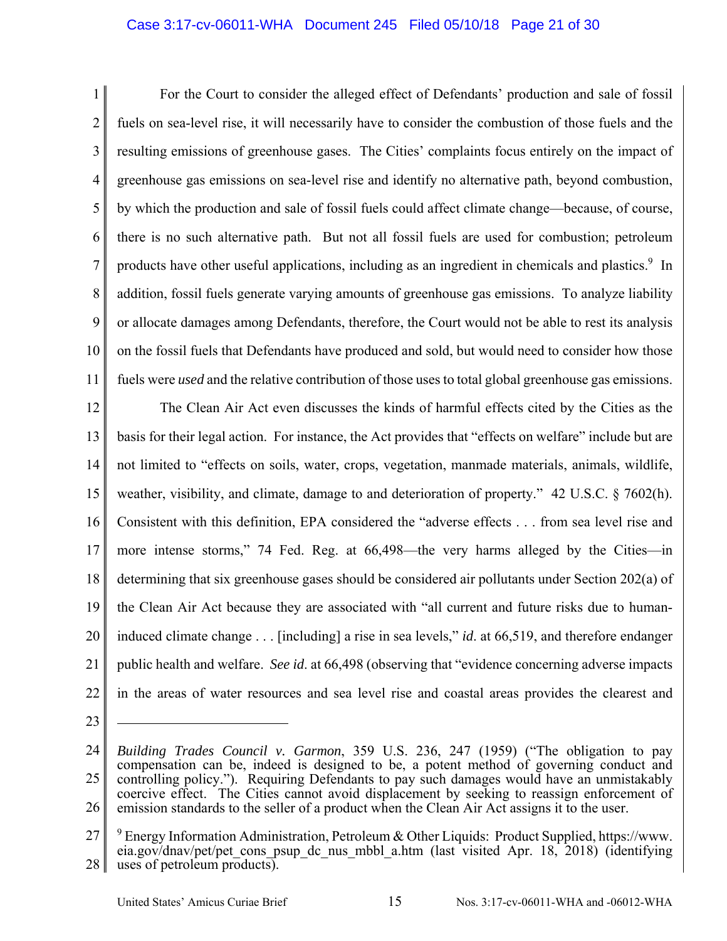# Case 3:17-cv-06011-WHA Document 245 Filed 05/10/18 Page 21 of 30

1 2 3 4 5 6 7 8 9 10 11 For the Court to consider the alleged effect of Defendants' production and sale of fossil fuels on sea-level rise, it will necessarily have to consider the combustion of those fuels and the resulting emissions of greenhouse gases. The Cities' complaints focus entirely on the impact of greenhouse gas emissions on sea-level rise and identify no alternative path, beyond combustion, by which the production and sale of fossil fuels could affect climate change—because, of course, there is no such alternative path. But not all fossil fuels are used for combustion; petroleum products have other useful applications, including as an ingredient in chemicals and plastics.<sup>9</sup> In addition, fossil fuels generate varying amounts of greenhouse gas emissions. To analyze liability or allocate damages among Defendants, therefore, the Court would not be able to rest its analysis on the fossil fuels that Defendants have produced and sold, but would need to consider how those fuels were *used* and the relative contribution of those uses to total global greenhouse gas emissions.

12 13 14 15 16 17 18 19 20 21 22 The Clean Air Act even discusses the kinds of harmful effects cited by the Cities as the basis for their legal action. For instance, the Act provides that "effects on welfare" include but are not limited to "effects on soils, water, crops, vegetation, manmade materials, animals, wildlife, weather, visibility, and climate, damage to and deterioration of property." 42 U.S.C. § 7602(h). Consistent with this definition, EPA considered the "adverse effects . . . from sea level rise and more intense storms," 74 Fed. Reg. at 66,498—the very harms alleged by the Cities—in determining that six greenhouse gases should be considered air pollutants under Section 202(a) of the Clean Air Act because they are associated with "all current and future risks due to humaninduced climate change . . . [including] a rise in sea levels," *id*. at 66,519, and therefore endanger public health and welfare. *See id*. at 66,498 (observing that "evidence concerning adverse impacts in the areas of water resources and sea level rise and coastal areas provides the clearest and

23

<sup>24</sup> 25 26 *Building Trades Council v. Garmon*, 359 U.S. 236, 247 (1959) ("The obligation to pay compensation can be, indeed is designed to be, a potent method of governing conduct and controlling policy."). Requiring Defendants to pay such damages would have an unmistakably coercive effect. The Cities cannot avoid displacement by seeking to reassign enforcement of emission standards to the seller of a product when the Clean Air Act assigns it to the user.

<sup>27</sup> 28  $9$  Energy Information Administration, Petroleum & Other Liquids: Product Supplied, https://www. eia.gov/dnav/pet/pet cons psup dc nus mbbl a.htm (last visited Apr. 18, 2018) (identifying uses of petroleum products).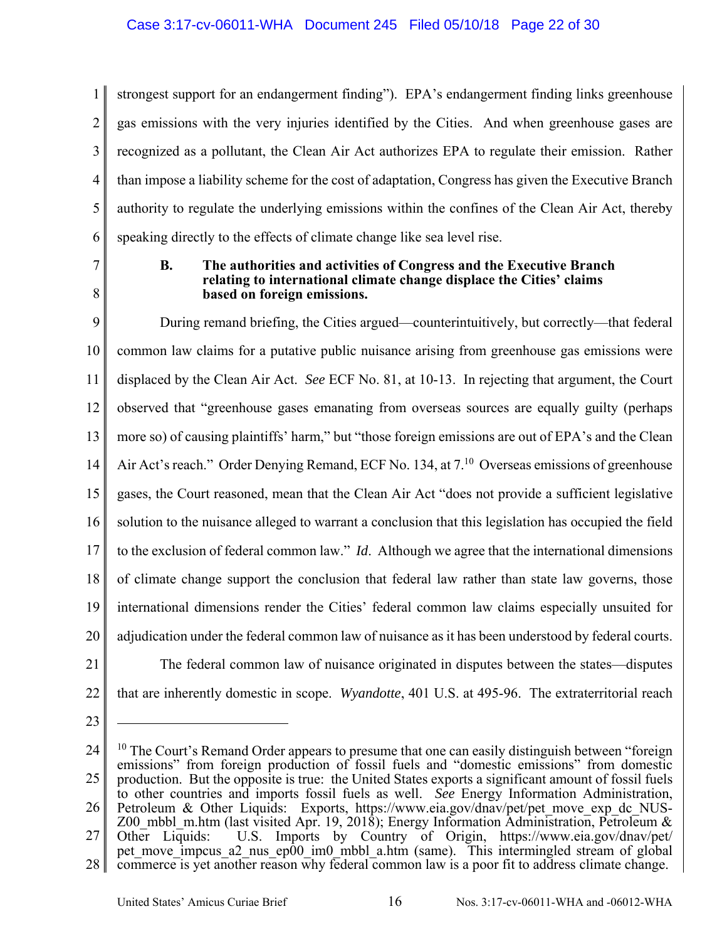1 2 3 4 5 6 strongest support for an endangerment finding"). EPA's endangerment finding links greenhouse gas emissions with the very injuries identified by the Cities. And when greenhouse gases are recognized as a pollutant, the Clean Air Act authorizes EPA to regulate their emission. Rather than impose a liability scheme for the cost of adaptation, Congress has given the Executive Branch authority to regulate the underlying emissions within the confines of the Clean Air Act, thereby speaking directly to the effects of climate change like sea level rise.

7 8

### **B. The authorities and activities of Congress and the Executive Branch relating to international climate change displace the Cities' claims based on foreign emissions.**

9 10 11 12 13 14 15 16 17 18 19 20 21 During remand briefing, the Cities argued—counterintuitively, but correctly—that federal common law claims for a putative public nuisance arising from greenhouse gas emissions were displaced by the Clean Air Act. *See* ECF No. 81, at 10-13. In rejecting that argument, the Court observed that "greenhouse gases emanating from overseas sources are equally guilty (perhaps more so) of causing plaintiffs' harm," but "those foreign emissions are out of EPA's and the Clean Air Act's reach." Order Denying Remand, ECF No. 134, at  $7<sup>10</sup>$  Overseas emissions of greenhouse gases, the Court reasoned, mean that the Clean Air Act "does not provide a sufficient legislative solution to the nuisance alleged to warrant a conclusion that this legislation has occupied the field to the exclusion of federal common law." *Id*. Although we agree that the international dimensions of climate change support the conclusion that federal law rather than state law governs, those international dimensions render the Cities' federal common law claims especially unsuited for adjudication under the federal common law of nuisance as it has been understood by federal courts. The federal common law of nuisance originated in disputes between the states—disputes

- 22
- that are inherently domestic in scope. *Wyandotte*, 401 U.S. at 495-96. The extraterritorial reach
- 23

<sup>24</sup> 25 26 27 28  $10$  The Court's Remand Order appears to presume that one can easily distinguish between "foreign" emissions" from foreign production of fossil fuels and "domestic emissions" from domestic production. But the opposite is true: the United States exports a significant amount of fossil fuels to other countries and imports fossil fuels as well. *See* Energy Information Administration, Petroleum & Other Liquids: Exports, https://www.eia.gov/dnav/pet/pet\_move\_exp\_dc\_NUS-Z00 mbbl m.htm (last visited Apr. 19, 2018); Energy Information Administration, Petroleum & Other Liquids: U.S. Imports by Country of Origin, https://www.eia.gov/dnav/pet/ pet\_move\_impcus\_a2\_nus\_ep00\_im0\_mbbl\_a.htm (same). This intermingled stream of global commerce is yet another reason why federal common law is a poor fit to address climate change.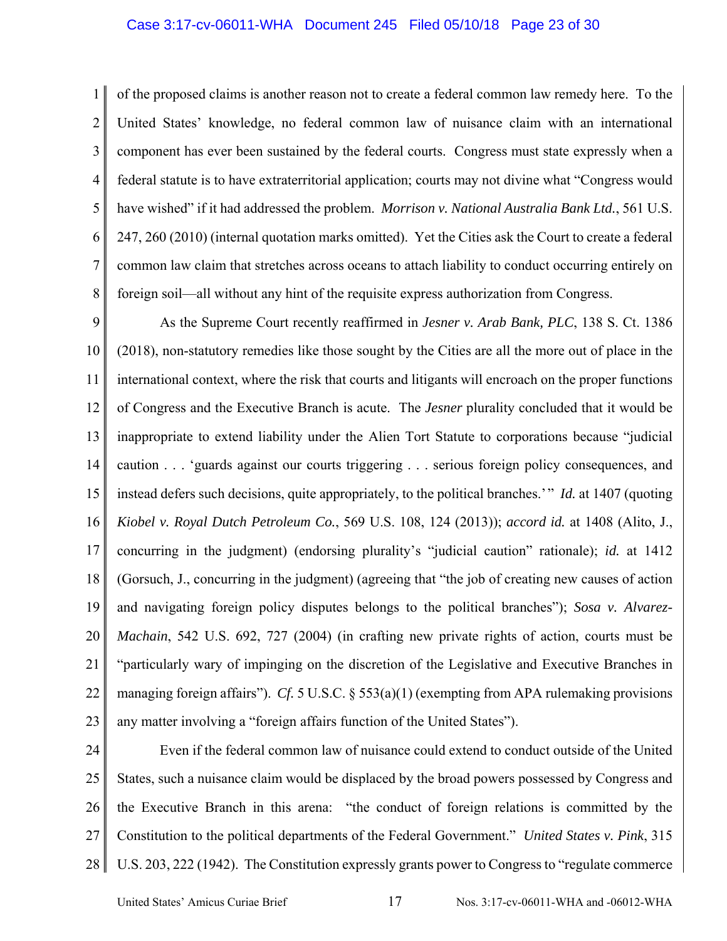#### Case 3:17-cv-06011-WHA Document 245 Filed 05/10/18 Page 23 of 30

1 2 3 4 5 6 7 8 of the proposed claims is another reason not to create a federal common law remedy here. To the United States' knowledge, no federal common law of nuisance claim with an international component has ever been sustained by the federal courts. Congress must state expressly when a federal statute is to have extraterritorial application; courts may not divine what "Congress would have wished" if it had addressed the problem. *Morrison v. National Australia Bank Ltd.*, 561 U.S. 247, 260 (2010) (internal quotation marks omitted). Yet the Cities ask the Court to create a federal common law claim that stretches across oceans to attach liability to conduct occurring entirely on foreign soil—all without any hint of the requisite express authorization from Congress.

9 10 11 12 13 14 15 16 17 18 19 20 21 22 23 As the Supreme Court recently reaffirmed in *Jesner v. Arab Bank, PLC*, 138 S. Ct. 1386 (2018), non-statutory remedies like those sought by the Cities are all the more out of place in the international context, where the risk that courts and litigants will encroach on the proper functions of Congress and the Executive Branch is acute. The *Jesner* plurality concluded that it would be inappropriate to extend liability under the Alien Tort Statute to corporations because "judicial caution . . . 'guards against our courts triggering . . . serious foreign policy consequences, and instead defers such decisions, quite appropriately, to the political branches.' " *Id.* at 1407 (quoting *Kiobel v. Royal Dutch Petroleum Co.*, 569 U.S. 108, 124 (2013)); *accord id.* at 1408 (Alito, J., concurring in the judgment) (endorsing plurality's "judicial caution" rationale); *id.* at 1412 (Gorsuch, J., concurring in the judgment) (agreeing that "the job of creating new causes of action and navigating foreign policy disputes belongs to the political branches"); *Sosa v. Alvarez-Machain*, 542 U.S. 692, 727 (2004) (in crafting new private rights of action, courts must be "particularly wary of impinging on the discretion of the Legislative and Executive Branches in managing foreign affairs"). *Cf.* 5 U.S.C. § 553(a)(1) (exempting from APA rulemaking provisions any matter involving a "foreign affairs function of the United States").

24 25 26 27 28 Even if the federal common law of nuisance could extend to conduct outside of the United States, such a nuisance claim would be displaced by the broad powers possessed by Congress and the Executive Branch in this arena: "the conduct of foreign relations is committed by the Constitution to the political departments of the Federal Government." *United States v. Pink*, 315 U.S. 203, 222 (1942). The Constitution expressly grants power to Congress to "regulate commerce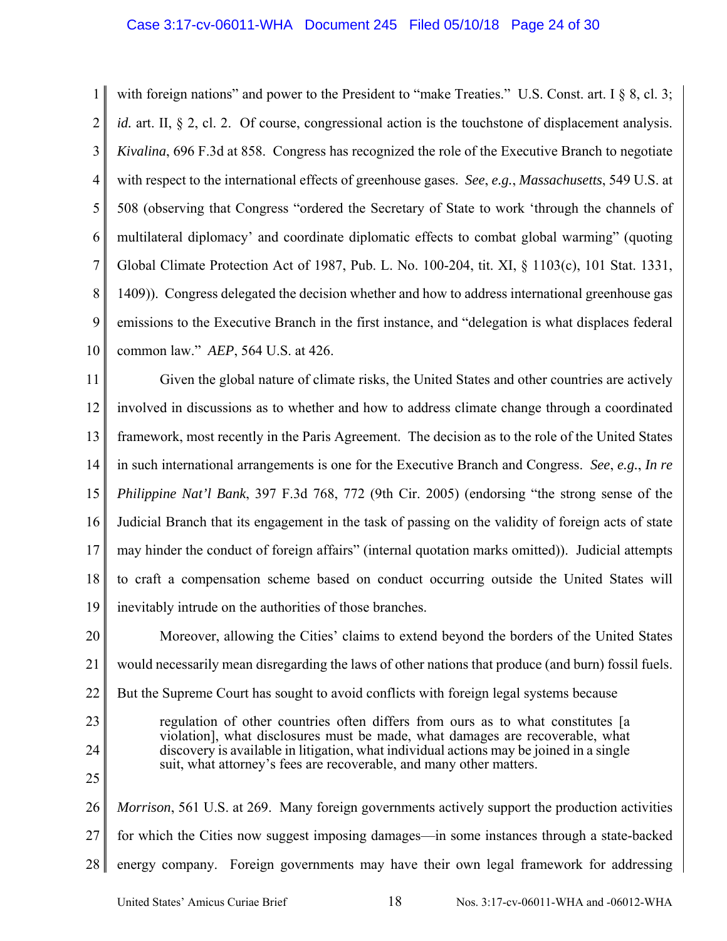### Case 3:17-cv-06011-WHA Document 245 Filed 05/10/18 Page 24 of 30

1 2 3 4 5 6 7 8 9 10 with foreign nations" and power to the President to "make Treaties." U.S. Const. art. I § 8, cl. 3; *id.* art. II, § 2, cl. 2. Of course, congressional action is the touchstone of displacement analysis. *Kivalina*, 696 F.3d at 858. Congress has recognized the role of the Executive Branch to negotiate with respect to the international effects of greenhouse gases. *See*, *e.g.*, *Massachusetts*, 549 U.S. at 508 (observing that Congress "ordered the Secretary of State to work 'through the channels of multilateral diplomacy' and coordinate diplomatic effects to combat global warming" (quoting Global Climate Protection Act of 1987, Pub. L. No. 100-204, tit. XI, § 1103(c), 101 Stat. 1331, 1409)). Congress delegated the decision whether and how to address international greenhouse gas emissions to the Executive Branch in the first instance, and "delegation is what displaces federal common law." *AEP*, 564 U.S. at 426.

11 12 13 14 15 16 17 18 19 Given the global nature of climate risks, the United States and other countries are actively involved in discussions as to whether and how to address climate change through a coordinated framework, most recently in the Paris Agreement. The decision as to the role of the United States in such international arrangements is one for the Executive Branch and Congress. *See*, *e.g.*, *In re Philippine Nat'l Bank*, 397 F.3d 768, 772 (9th Cir. 2005) (endorsing "the strong sense of the Judicial Branch that its engagement in the task of passing on the validity of foreign acts of state may hinder the conduct of foreign affairs" (internal quotation marks omitted)). Judicial attempts to craft a compensation scheme based on conduct occurring outside the United States will inevitably intrude on the authorities of those branches.

20 21 22 23 24 25 26 27 Moreover, allowing the Cities' claims to extend beyond the borders of the United States would necessarily mean disregarding the laws of other nations that produce (and burn) fossil fuels. But the Supreme Court has sought to avoid conflicts with foreign legal systems because regulation of other countries often differs from ours as to what constitutes [a violation], what disclosures must be made, what damages are recoverable, what discovery is available in litigation, what individual actions may be joined in a single suit, what attorney's fees are recoverable, and many other matters. *Morrison*, 561 U.S. at 269. Many foreign governments actively support the production activities for which the Cities now suggest imposing damages—in some instances through a state-backed

28 energy company. Foreign governments may have their own legal framework for addressing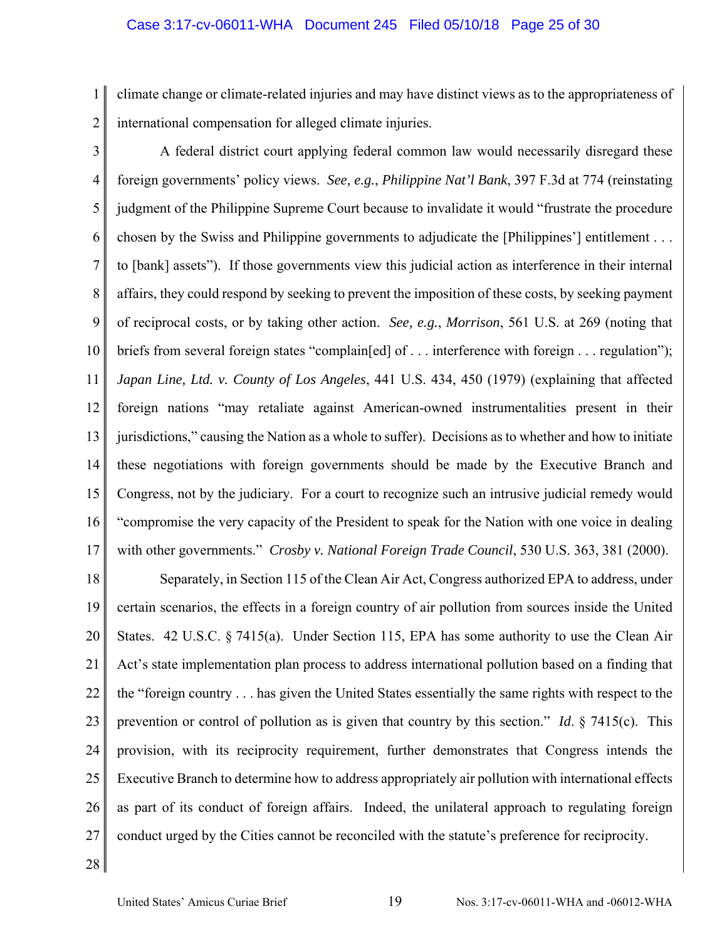1 2 climate change or climate-related injuries and may have distinct views as to the appropriateness of international compensation for alleged climate injuries.

3 4 5 6 7 8 9 10 11 12 13 14 15 16 17 A federal district court applying federal common law would necessarily disregard these foreign governments' policy views. *See, e.g.*, *Philippine Nat'l Bank*, 397 F.3d at 774 (reinstating judgment of the Philippine Supreme Court because to invalidate it would "frustrate the procedure chosen by the Swiss and Philippine governments to adjudicate the [Philippines'] entitlement . . . to [bank] assets"). If those governments view this judicial action as interference in their internal affairs, they could respond by seeking to prevent the imposition of these costs, by seeking payment of reciprocal costs, or by taking other action. *See, e.g.*, *Morrison*, 561 U.S. at 269 (noting that briefs from several foreign states "complain[ed] of . . . interference with foreign . . . regulation"); *Japan Line, Ltd. v. County of Los Angeles*, 441 U.S. 434, 450 (1979) (explaining that affected foreign nations "may retaliate against American-owned instrumentalities present in their jurisdictions," causing the Nation as a whole to suffer). Decisions as to whether and how to initiate these negotiations with foreign governments should be made by the Executive Branch and Congress, not by the judiciary. For a court to recognize such an intrusive judicial remedy would "compromise the very capacity of the President to speak for the Nation with one voice in dealing with other governments." *Crosby v. National Foreign Trade Council*, 530 U.S. 363, 381 (2000).

18 19 20 21 22 23 24 25 26 27 Separately, in Section 115 of the Clean Air Act, Congress authorized EPA to address, under certain scenarios, the effects in a foreign country of air pollution from sources inside the United States. 42 U.S.C. § 7415(a). Under Section 115, EPA has some authority to use the Clean Air Act's state implementation plan process to address international pollution based on a finding that the "foreign country . . . has given the United States essentially the same rights with respect to the prevention or control of pollution as is given that country by this section." *Id*. § 7415(c). This provision, with its reciprocity requirement, further demonstrates that Congress intends the Executive Branch to determine how to address appropriately air pollution with international effects as part of its conduct of foreign affairs. Indeed, the unilateral approach to regulating foreign conduct urged by the Cities cannot be reconciled with the statute's preference for reciprocity.

28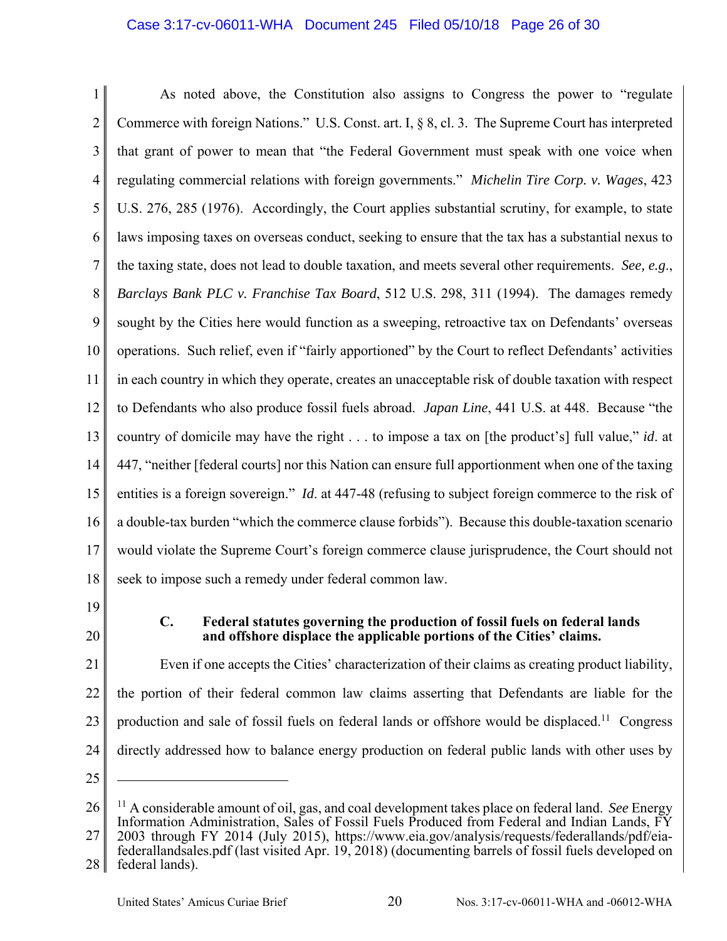# Case 3:17-cv-06011-WHA Document 245 Filed 05/10/18 Page 26 of 30

1 2 3 4 5 6 7 8 9 10 11 12 13 14 15 16 17 18 As noted above, the Constitution also assigns to Congress the power to "regulate Commerce with foreign Nations." U.S. Const. art. I, § 8, cl. 3. The Supreme Court has interpreted that grant of power to mean that "the Federal Government must speak with one voice when regulating commercial relations with foreign governments." *Michelin Tire Corp. v. Wages*, 423 U.S. 276, 285 (1976). Accordingly, the Court applies substantial scrutiny, for example, to state laws imposing taxes on overseas conduct, seeking to ensure that the tax has a substantial nexus to the taxing state, does not lead to double taxation, and meets several other requirements. *See, e.g*., *Barclays Bank PLC v. Franchise Tax Board*, 512 U.S. 298, 311 (1994). The damages remedy sought by the Cities here would function as a sweeping, retroactive tax on Defendants' overseas operations. Such relief, even if "fairly apportioned" by the Court to reflect Defendants' activities in each country in which they operate, creates an unacceptable risk of double taxation with respect to Defendants who also produce fossil fuels abroad. *Japan Line*, 441 U.S. at 448. Because "the country of domicile may have the right . . . to impose a tax on [the product's] full value," *id*. at 447, "neither [federal courts] nor this Nation can ensure full apportionment when one of the taxing entities is a foreign sovereign." *Id.* at 447-48 (refusing to subject foreign commerce to the risk of a double-tax burden "which the commerce clause forbids"). Because this double-taxation scenario would violate the Supreme Court's foreign commerce clause jurisprudence, the Court should not seek to impose such a remedy under federal common law.

- 19
- 20

# **C. Federal statutes governing the production of fossil fuels on federal lands and offshore displace the applicable portions of the Cities' claims.**

21 22 23 24 Even if one accepts the Cities' characterization of their claims as creating product liability, the portion of their federal common law claims asserting that Defendants are liable for the production and sale of fossil fuels on federal lands or offshore would be displaced.<sup>11</sup> Congress directly addressed how to balance energy production on federal public lands with other uses by

25

<sup>26</sup> 27 11 A considerable amount of oil, gas, and coal development takes place on federal land. *See* Energy Information Administration, Sales of Fossil Fuels Produced from Federal and Indian Lands, FY 2003 through FY 2014 (July 2015), https://www.eia.gov/analysis/requests/federallands/pdf/eiafederallandsales.pdf (last visited Apr. 19, 2018) (documenting barrels of fossil fuels developed on

<sup>28</sup> federal lands).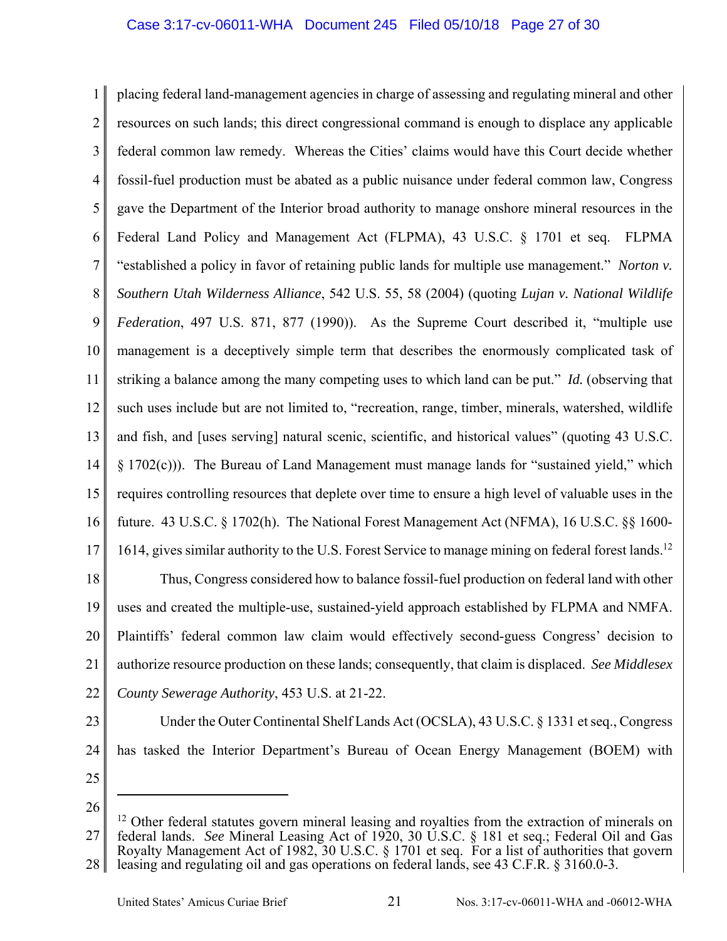1 2 3 4 5 6 7 8 9 10 11 12 13 14 15 16 17 placing federal land-management agencies in charge of assessing and regulating mineral and other resources on such lands; this direct congressional command is enough to displace any applicable federal common law remedy. Whereas the Cities' claims would have this Court decide whether fossil-fuel production must be abated as a public nuisance under federal common law, Congress gave the Department of the Interior broad authority to manage onshore mineral resources in the Federal Land Policy and Management Act (FLPMA), 43 U.S.C. § 1701 et seq. FLPMA "established a policy in favor of retaining public lands for multiple use management." *Norton v. Southern Utah Wilderness Alliance*, 542 U.S. 55, 58 (2004) (quoting *Lujan v. National Wildlife Federation*, 497 U.S. 871, 877 (1990)). As the Supreme Court described it, "multiple use management is a deceptively simple term that describes the enormously complicated task of striking a balance among the many competing uses to which land can be put." *Id.* (observing that such uses include but are not limited to, "recreation, range, timber, minerals, watershed, wildlife and fish, and [uses serving] natural scenic, scientific, and historical values" (quoting 43 U.S.C. § 1702(c))). The Bureau of Land Management must manage lands for "sustained yield," which requires controlling resources that deplete over time to ensure a high level of valuable uses in the future. 43 U.S.C. § 1702(h). The National Forest Management Act (NFMA), 16 U.S.C. §§ 1600- 1614, gives similar authority to the U.S. Forest Service to manage mining on federal forest lands.<sup>12</sup>

18 19 20 21 22 Thus, Congress considered how to balance fossil-fuel production on federal land with other uses and created the multiple-use, sustained-yield approach established by FLPMA and NMFA. Plaintiffs' federal common law claim would effectively second-guess Congress' decision to authorize resource production on these lands; consequently, that claim is displaced. *See Middlesex County Sewerage Authority*, 453 U.S. at 21-22.

Under the Outer Continental Shelf Lands Act (OCSLA), 43 U.S.C. § 1331 et seq., Congress

has tasked the Interior Department's Bureau of Ocean Energy Management (BOEM) with

- 23
- 24
- 25

26

<sup>27</sup> 28  $12$  Other federal statutes govern mineral leasing and royalties from the extraction of minerals on federal lands. *See* Mineral Leasing Act of 1920, 30 U.S.C. § 181 et seq.; Federal Oil and Gas Royalty Management Act of 1982, 30 U.S.C. § 1701 et seq. For a list of authorities that govern leasing and regulating oil and gas operations on federal lands, see 43 C.F.R. § 3160.0-3.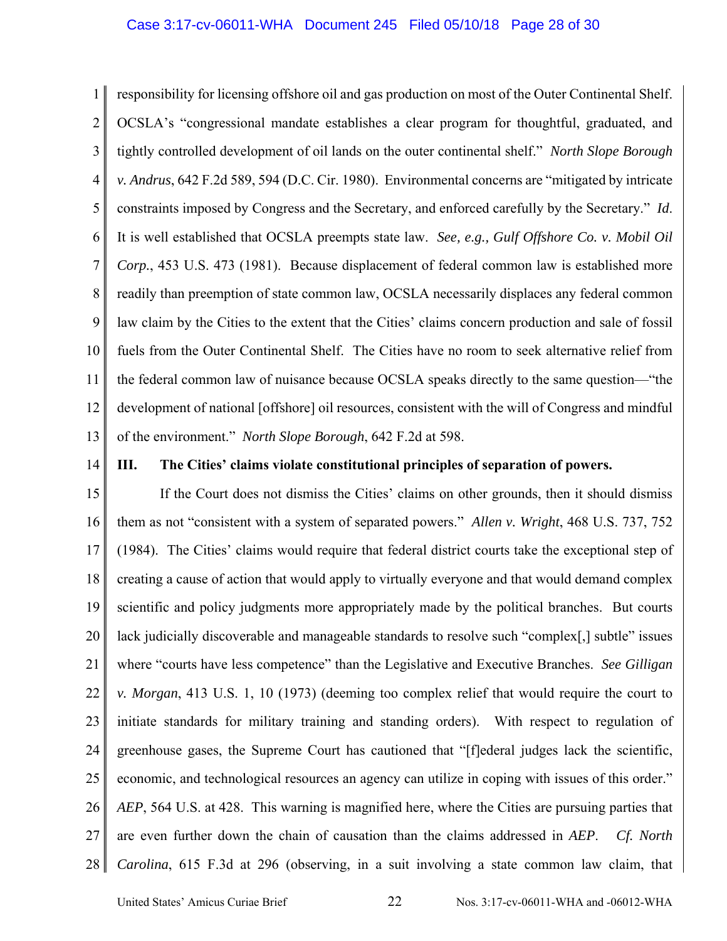### Case 3:17-cv-06011-WHA Document 245 Filed 05/10/18 Page 28 of 30

1 2 3 4 5 6 7 8 9 10 11 12 13 responsibility for licensing offshore oil and gas production on most of the Outer Continental Shelf. OCSLA's "congressional mandate establishes a clear program for thoughtful, graduated, and tightly controlled development of oil lands on the outer continental shelf." *North Slope Borough v. Andrus*, 642 F.2d 589, 594 (D.C. Cir. 1980). Environmental concerns are "mitigated by intricate constraints imposed by Congress and the Secretary, and enforced carefully by the Secretary." *Id*. It is well established that OCSLA preempts state law. *See, e.g., Gulf Offshore Co. v. Mobil Oil Corp.*, 453 U.S. 473 (1981). Because displacement of federal common law is established more readily than preemption of state common law, OCSLA necessarily displaces any federal common law claim by the Cities to the extent that the Cities' claims concern production and sale of fossil fuels from the Outer Continental Shelf. The Cities have no room to seek alternative relief from the federal common law of nuisance because OCSLA speaks directly to the same question—"the development of national [offshore] oil resources, consistent with the will of Congress and mindful of the environment." *North Slope Borough*, 642 F.2d at 598.

14

### **III. The Cities' claims violate constitutional principles of separation of powers.**

15 16 17 18 19 20 21 22 23 24 25 26 27 28 If the Court does not dismiss the Cities' claims on other grounds, then it should dismiss them as not "consistent with a system of separated powers." *Allen v. Wright*, 468 U.S. 737, 752 (1984). The Cities' claims would require that federal district courts take the exceptional step of creating a cause of action that would apply to virtually everyone and that would demand complex scientific and policy judgments more appropriately made by the political branches. But courts lack judicially discoverable and manageable standards to resolve such "complex[,] subtle" issues where "courts have less competence" than the Legislative and Executive Branches. *See Gilligan v. Morgan*, 413 U.S. 1, 10 (1973) (deeming too complex relief that would require the court to initiate standards for military training and standing orders). With respect to regulation of greenhouse gases, the Supreme Court has cautioned that "[f]ederal judges lack the scientific, economic, and technological resources an agency can utilize in coping with issues of this order." *AEP*, 564 U.S. at 428. This warning is magnified here, where the Cities are pursuing parties that are even further down the chain of causation than the claims addressed in *AEP*. *Cf. North Carolina*, 615 F.3d at 296 (observing, in a suit involving a state common law claim, that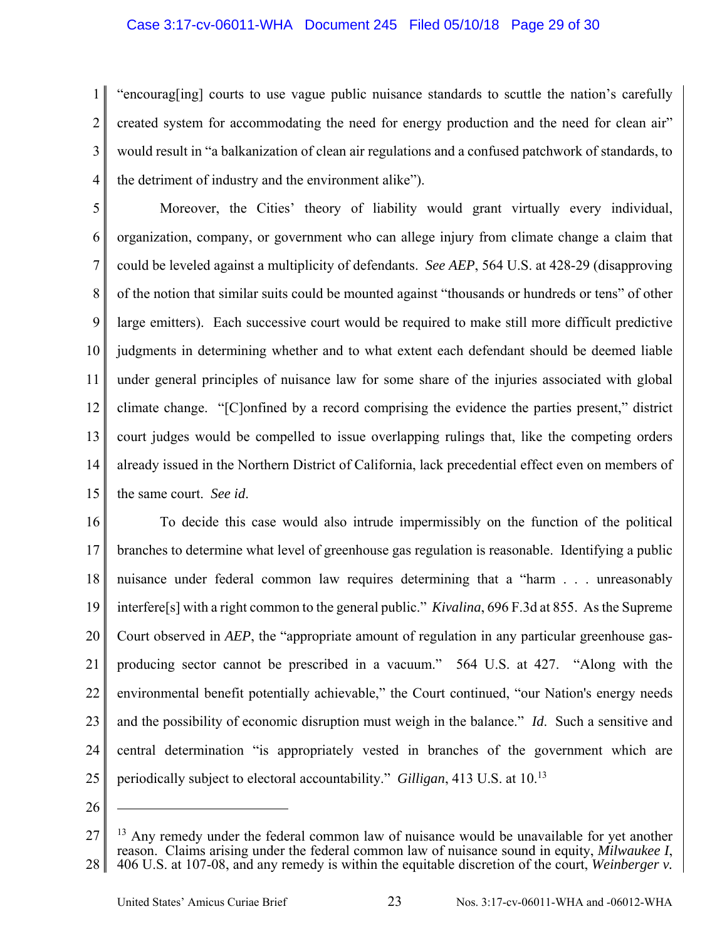## Case 3:17-cv-06011-WHA Document 245 Filed 05/10/18 Page 29 of 30

1 2 3 4 "encourag[ing] courts to use vague public nuisance standards to scuttle the nation's carefully created system for accommodating the need for energy production and the need for clean air" would result in "a balkanization of clean air regulations and a confused patchwork of standards, to the detriment of industry and the environment alike").

5 6 7 8 9 10 11 12 13 14 15 Moreover, the Cities' theory of liability would grant virtually every individual, organization, company, or government who can allege injury from climate change a claim that could be leveled against a multiplicity of defendants. *See AEP*, 564 U.S. at 428-29 (disapproving of the notion that similar suits could be mounted against "thousands or hundreds or tens" of other large emitters). Each successive court would be required to make still more difficult predictive judgments in determining whether and to what extent each defendant should be deemed liable under general principles of nuisance law for some share of the injuries associated with global climate change. "[C]onfined by a record comprising the evidence the parties present," district court judges would be compelled to issue overlapping rulings that, like the competing orders already issued in the Northern District of California, lack precedential effect even on members of the same court. *See id*.

16 17 18 19 20 21 22 23 24 25 To decide this case would also intrude impermissibly on the function of the political branches to determine what level of greenhouse gas regulation is reasonable. Identifying a public nuisance under federal common law requires determining that a "harm . . . unreasonably interfere[s] with a right common to the general public." *Kivalina*, 696 F.3d at 855. As the Supreme Court observed in *AEP*, the "appropriate amount of regulation in any particular greenhouse gasproducing sector cannot be prescribed in a vacuum." 564 U.S. at 427. "Along with the environmental benefit potentially achievable," the Court continued, "our Nation's energy needs and the possibility of economic disruption must weigh in the balance." *Id*. Such a sensitive and central determination "is appropriately vested in branches of the government which are periodically subject to electoral accountability." *Gilligan*, 413 U.S. at 10.13

26

<sup>27</sup> 28  $13$  Any remedy under the federal common law of nuisance would be unavailable for yet another reason. Claims arising under the federal common law of nuisance sound in equity, *Milwaukee I*, 406 U.S. at 107-08, and any remedy is within the equitable discretion of the court, *Weinberger v.*